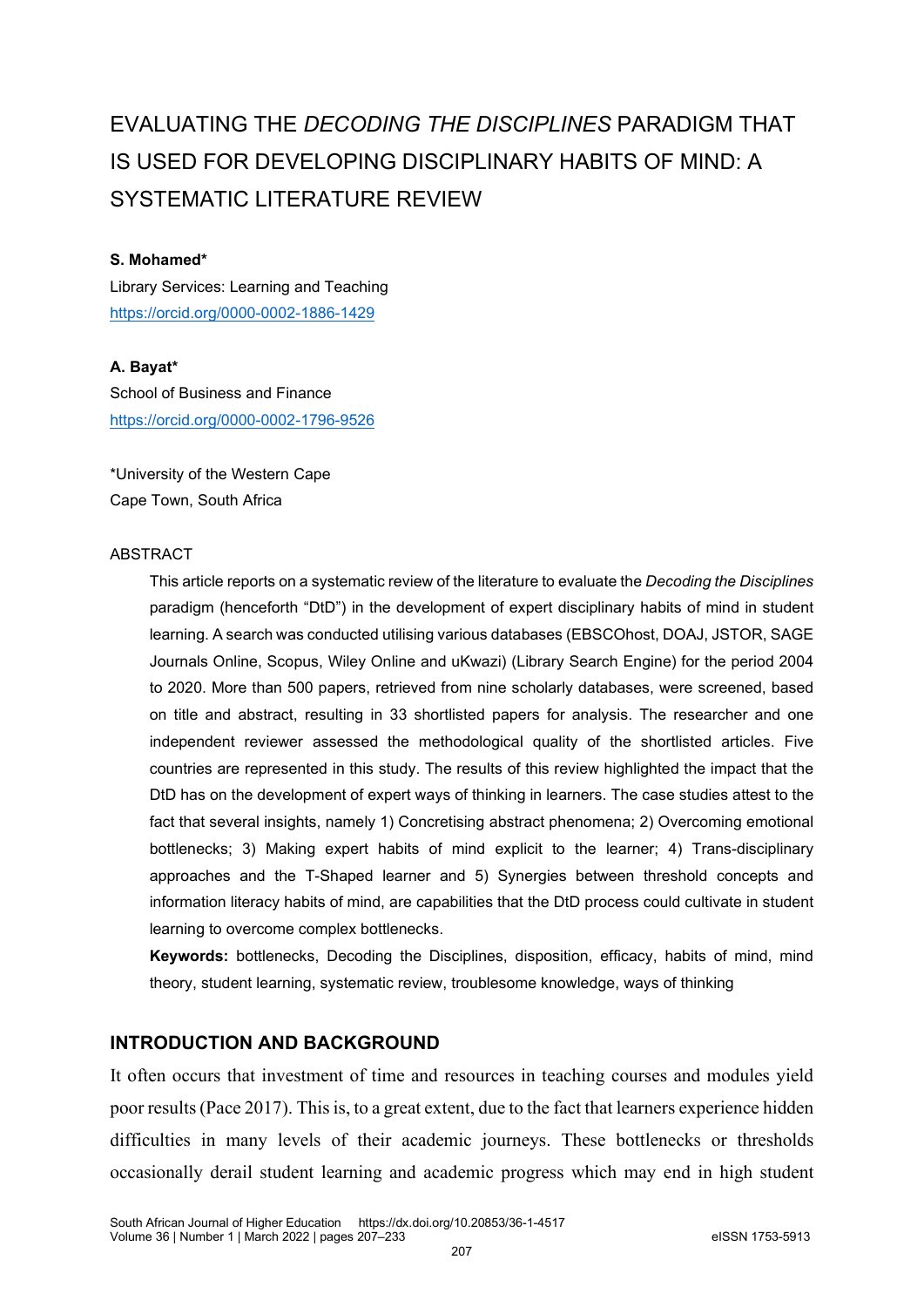# EVALUATING THE *DECODING THE DISCIPLINES* PARADIGM THAT IS USED FOR DEVELOPING DISCIPLINARY HABITS OF MIND: A SYSTEMATIC LITERATURE REVIEW

#### **S. Mohamed\***

Library Services: Learning and Teaching <https://orcid.org/0000-0002-1886-1429>

#### **A. Bayat\***

School of Business and Finance <https://orcid.org/0000-0002-1796-9526>

\*University of the Western Cape Cape Town, South Africa

#### ABSTRACT

This article reports on a systematic review of the literature to evaluate the *Decoding the Disciplines* paradigm (henceforth "DtD") in the development of expert disciplinary habits of mind in student learning. A search was conducted utilising various databases (EBSCOhost, DOAJ, JSTOR, SAGE Journals Online, Scopus, Wiley Online and uKwazi) (Library Search Engine) for the period 2004 to 2020. More than 500 papers, retrieved from nine scholarly databases, were screened, based on title and abstract, resulting in 33 shortlisted papers for analysis. The researcher and one independent reviewer assessed the methodological quality of the shortlisted articles. Five countries are represented in this study. The results of this review highlighted the impact that the DtD has on the development of expert ways of thinking in learners. The case studies attest to the fact that several insights, namely 1) Concretising abstract phenomena; 2) Overcoming emotional bottlenecks; 3) Making expert habits of mind explicit to the learner; 4) Trans-disciplinary approaches and the T-Shaped learner and 5) Synergies between threshold concepts and information literacy habits of mind, are capabilities that the DtD process could cultivate in student learning to overcome complex bottlenecks.

**Keywords:** bottlenecks, Decoding the Disciplines, disposition, efficacy, habits of mind, mind theory, student learning, systematic review, troublesome knowledge, ways of thinking

#### **INTRODUCTION AND BACKGROUND**

It often occurs that investment of time and resources in teaching courses and modules yield poor results (Pace 2017). This is, to a great extent, due to the fact that learners experience hidden difficulties in many levels of their academic journeys. These bottlenecks or thresholds occasionally derail student learning and academic progress which may end in high student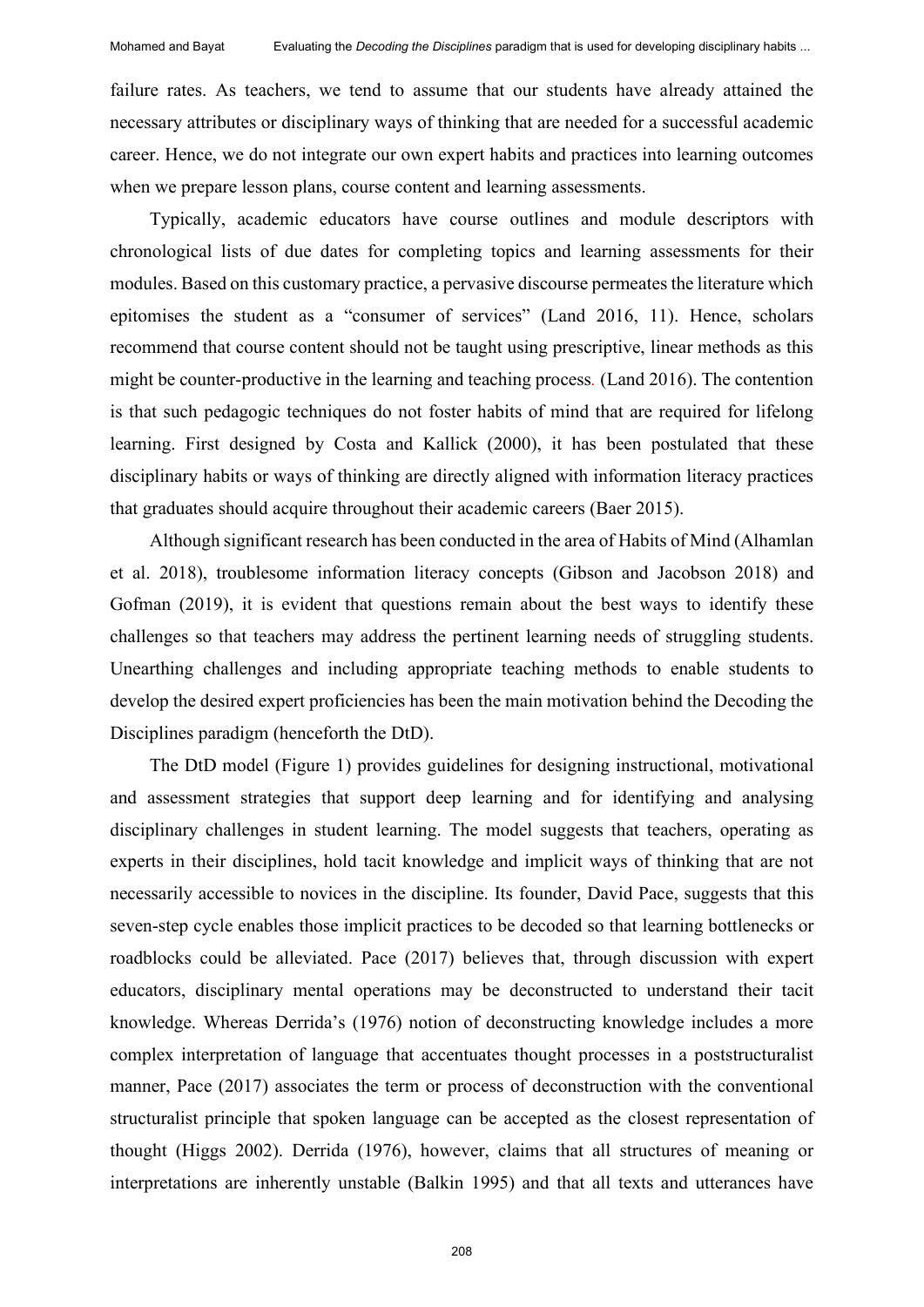failure rates. As teachers, we tend to assume that our students have already attained the necessary attributes or disciplinary ways of thinking that are needed for a successful academic career. Hence, we do not integrate our own expert habits and practices into learning outcomes when we prepare lesson plans, course content and learning assessments.

Typically, academic educators have course outlines and module descriptors with chronological lists of due dates for completing topics and learning assessments for their modules. Based on this customary practice, a pervasive discourse permeates the literature which epitomises the student as a "consumer of services" (Land 2016, 11). Hence, scholars recommend that course content should not be taught using prescriptive, linear methods as this might be counter-productive in the learning and teaching process*.* (Land 2016). The contention is that such pedagogic techniques do not foster habits of mind that are required for lifelong learning. First designed by Costa and Kallick (2000), it has been postulated that these disciplinary habits or ways of thinking are directly aligned with information literacy practices that graduates should acquire throughout their academic careers (Baer 2015).

Although significant research has been conducted in the area of Habits of Mind (Alhamlan et al. 2018), troublesome information literacy concepts (Gibson and Jacobson 2018) and Gofman (2019), it is evident that questions remain about the best ways to identify these challenges so that teachers may address the pertinent learning needs of struggling students. Unearthing challenges and including appropriate teaching methods to enable students to develop the desired expert proficiencies has been the main motivation behind the Decoding the Disciplines paradigm (henceforth the DtD).

The DtD model (Figure 1) provides guidelines for designing instructional, motivational and assessment strategies that support deep learning and for identifying and analysing disciplinary challenges in student learning. The model suggests that teachers, operating as experts in their disciplines, hold tacit knowledge and implicit ways of thinking that are not necessarily accessible to novices in the discipline. Its founder, David Pace, suggests that this seven-step cycle enables those implicit practices to be decoded so that learning bottlenecks or roadblocks could be alleviated. Pace (2017) believes that, through discussion with expert educators, disciplinary mental operations may be deconstructed to understand their tacit knowledge. Whereas Derrida's (1976) notion of deconstructing knowledge includes a more complex interpretation of language that accentuates thought processes in a poststructuralist manner, Pace (2017) associates the term or process of deconstruction with the conventional structuralist principle that spoken language can be accepted as the closest representation of thought (Higgs 2002). Derrida (1976), however, claims that all structures of meaning or interpretations are inherently unstable (Balkin 1995) and that all texts and utterances have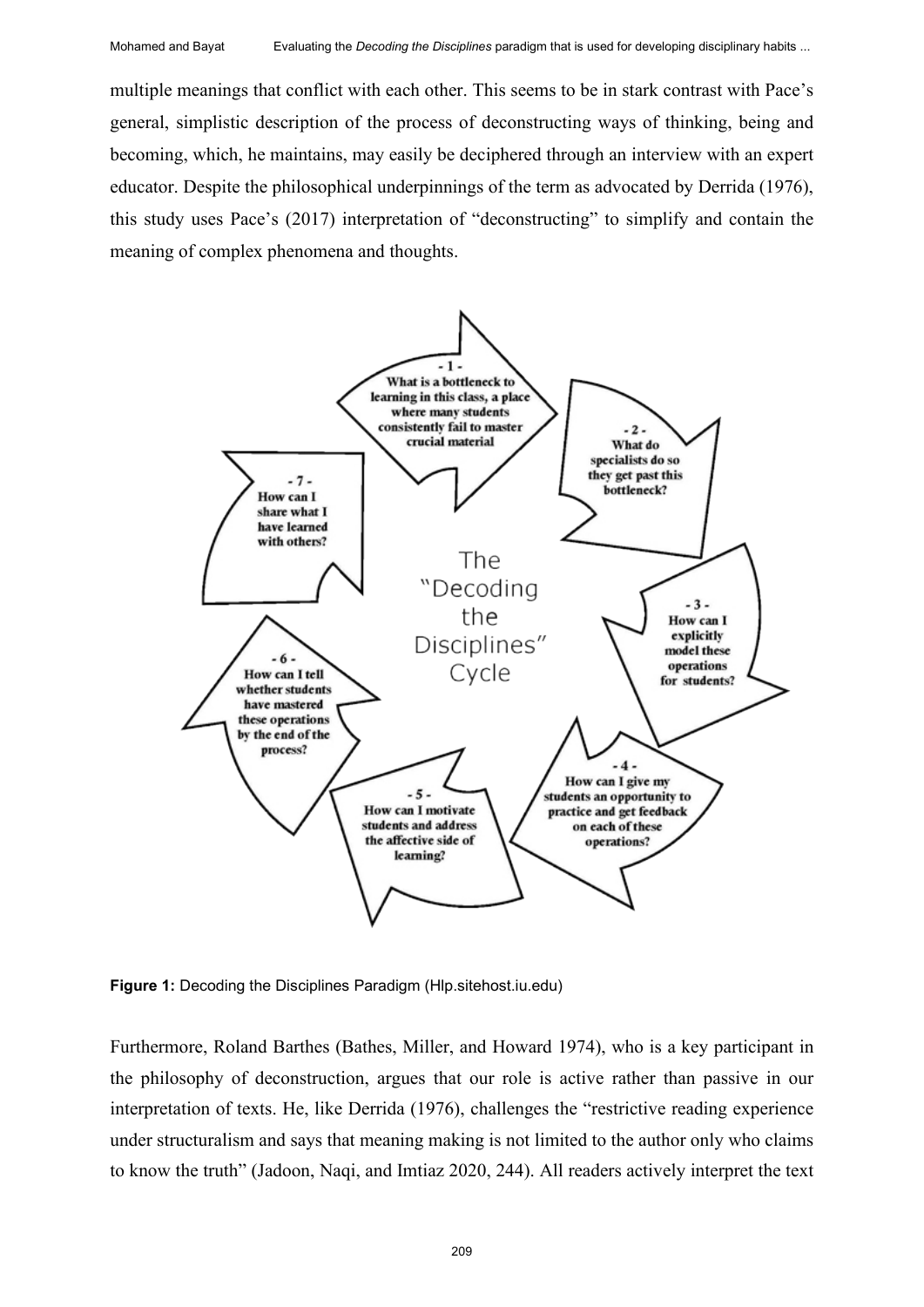multiple meanings that conflict with each other. This seems to be in stark contrast with Pace's general, simplistic description of the process of deconstructing ways of thinking, being and becoming, which, he maintains, may easily be deciphered through an interview with an expert educator. Despite the philosophical underpinnings of the term as advocated by Derrida (1976), this study uses Pace's (2017) interpretation of "deconstructing" to simplify and contain the meaning of complex phenomena and thoughts.



**Figure 1:** Decoding the Disciplines Paradigm (Hlp.sitehost.iu.edu)

Furthermore, Roland Barthes (Bathes, Miller, and Howard 1974), who is a key participant in the philosophy of deconstruction, argues that our role is active rather than passive in our interpretation of texts. He, like Derrida (1976), challenges the "restrictive reading experience under structuralism and says that meaning making is not limited to the author only who claims to know the truth" (Jadoon, Naqi, and Imtiaz 2020, 244). All readers actively interpret the text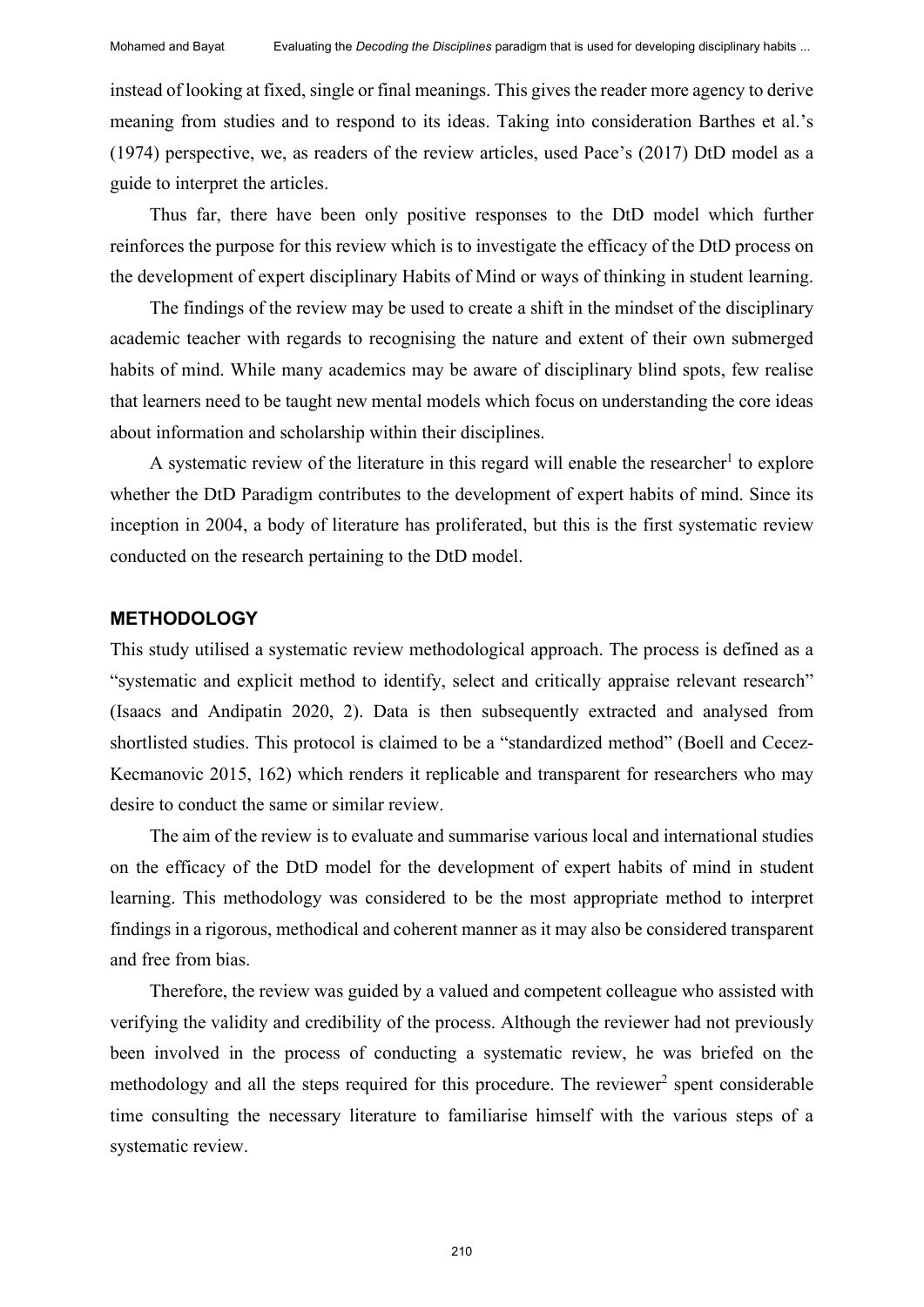instead of looking at fixed, single or final meanings. This gives the reader more agency to derive meaning from studies and to respond to its ideas. Taking into consideration Barthes et al.'s (1974) perspective, we, as readers of the review articles, used Pace's (2017) DtD model as a guide to interpret the articles.

Thus far, there have been only positive responses to the DtD model which further reinforces the purpose for this review which is to investigate the efficacy of the DtD process on the development of expert disciplinary Habits of Mind or ways of thinking in student learning.

The findings of the review may be used to create a shift in the mindset of the disciplinary academic teacher with regards to recognising the nature and extent of their own submerged habits of mind. While many academics may be aware of disciplinary blind spots, few realise that learners need to be taught new mental models which focus on understanding the core ideas about information and scholarship within their disciplines.

A systematic review of the literature in this regard will enable the researcher<sup>1</sup> to explore whether the DtD Paradigm contributes to the development of expert habits of mind. Since its inception in 2004, a body of literature has proliferated, but this is the first systematic review conducted on the research pertaining to the DtD model.

#### **METHODOLOGY**

This study utilised a systematic review methodological approach. The process is defined as a "systematic and explicit method to identify, select and critically appraise relevant research" (Isaacs and Andipatin 2020, 2). Data is then subsequently extracted and analysed from shortlisted studies. This protocol is claimed to be a "standardized method" (Boell and Cecez-Kecmanovic 2015, 162) which renders it replicable and transparent for researchers who may desire to conduct the same or similar review.

The aim of the review is to evaluate and summarise various local and international studies on the efficacy of the DtD model for the development of expert habits of mind in student learning. This methodology was considered to be the most appropriate method to interpret findings in a rigorous, methodical and coherent manner as it may also be considered transparent and free from bias.

Therefore, the review was guided by a valued and competent colleague who assisted with verifying the validity and credibility of the process. Although the reviewer had not previously been involved in the process of conducting a systematic review, he was briefed on the methodology and all the steps required for this procedure. The reviewer<sup>2</sup> spent considerable time consulting the necessary literature to familiarise himself with the various steps of a systematic review.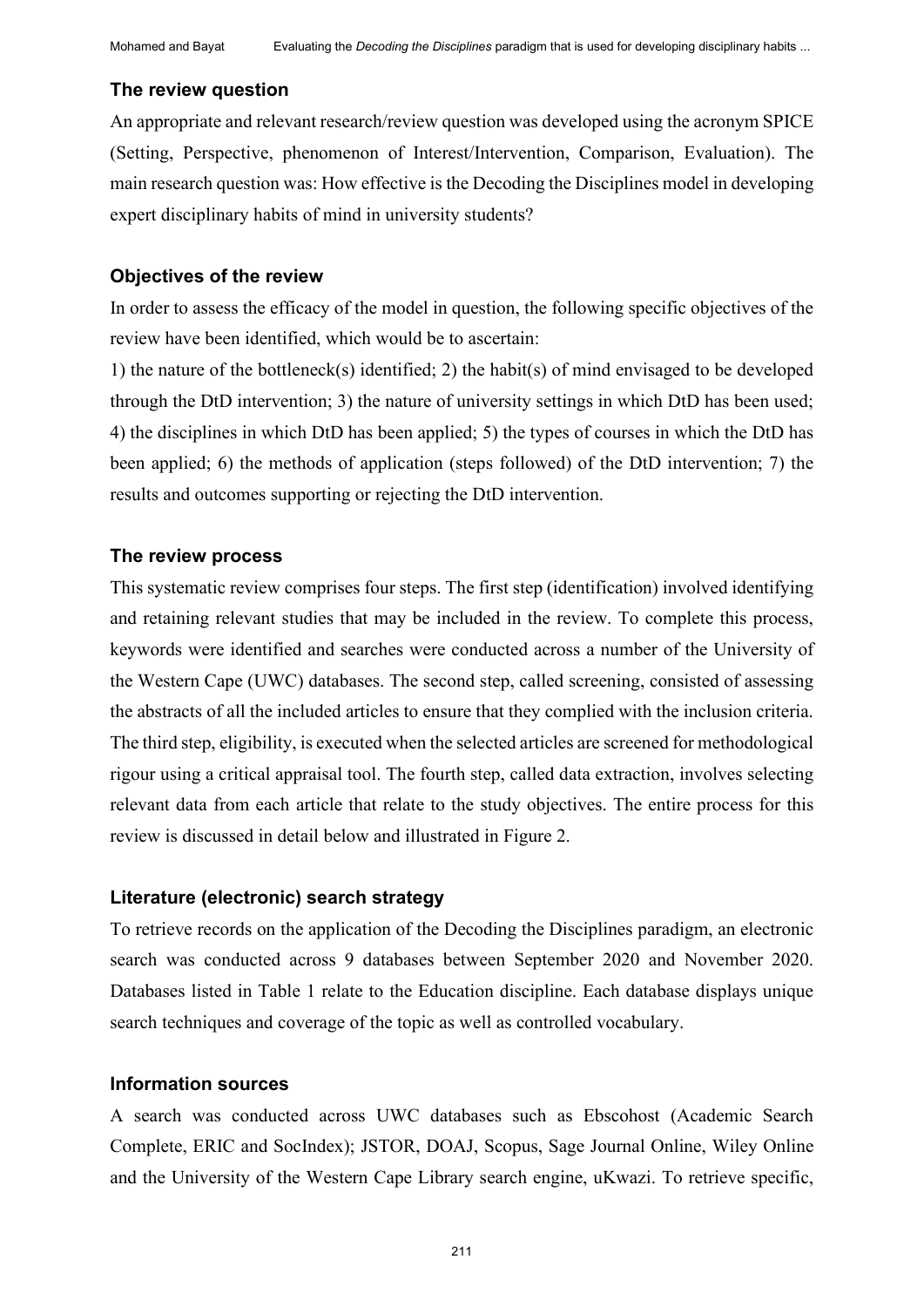#### **The review question**

An appropriate and relevant research/review question was developed using the acronym SPICE (Setting, Perspective, phenomenon of Interest/Intervention, Comparison, Evaluation). The main research question was: How effective is the Decoding the Disciplines model in developing expert disciplinary habits of mind in university students?

#### **Objectives of the review**

In order to assess the efficacy of the model in question, the following specific objectives of the review have been identified, which would be to ascertain:

1) the nature of the bottleneck(s) identified; 2) the habit(s) of mind envisaged to be developed through the DtD intervention; 3) the nature of university settings in which DtD has been used; 4) the disciplines in which DtD has been applied; 5) the types of courses in which the DtD has been applied; 6) the methods of application (steps followed) of the DtD intervention; 7) the results and outcomes supporting or rejecting the DtD intervention.

#### **The review process**

This systematic review comprises four steps. The first step (identification) involved identifying and retaining relevant studies that may be included in the review. To complete this process, keywords were identified and searches were conducted across a number of the University of the Western Cape (UWC) databases. The second step, called screening, consisted of assessing the abstracts of all the included articles to ensure that they complied with the inclusion criteria. The third step, eligibility, is executed when the selected articles are screened for methodological rigour using a critical appraisal tool. The fourth step, called data extraction, involves selecting relevant data from each article that relate to the study objectives. The entire process for this review is discussed in detail below and illustrated in Figure 2.

#### **Literature (electronic) search strategy**

To retrieve records on the application of the Decoding the Disciplines paradigm, an electronic search was conducted across 9 databases between September 2020 and November 2020. Databases listed in Table 1 relate to the Education discipline. Each database displays unique search techniques and coverage of the topic as well as controlled vocabulary.

#### **Information sources**

A search was conducted across UWC databases such as Ebscohost (Academic Search Complete, ERIC and SocIndex); JSTOR, DOAJ, Scopus, Sage Journal Online, Wiley Online and the University of the Western Cape Library search engine, uKwazi. To retrieve specific,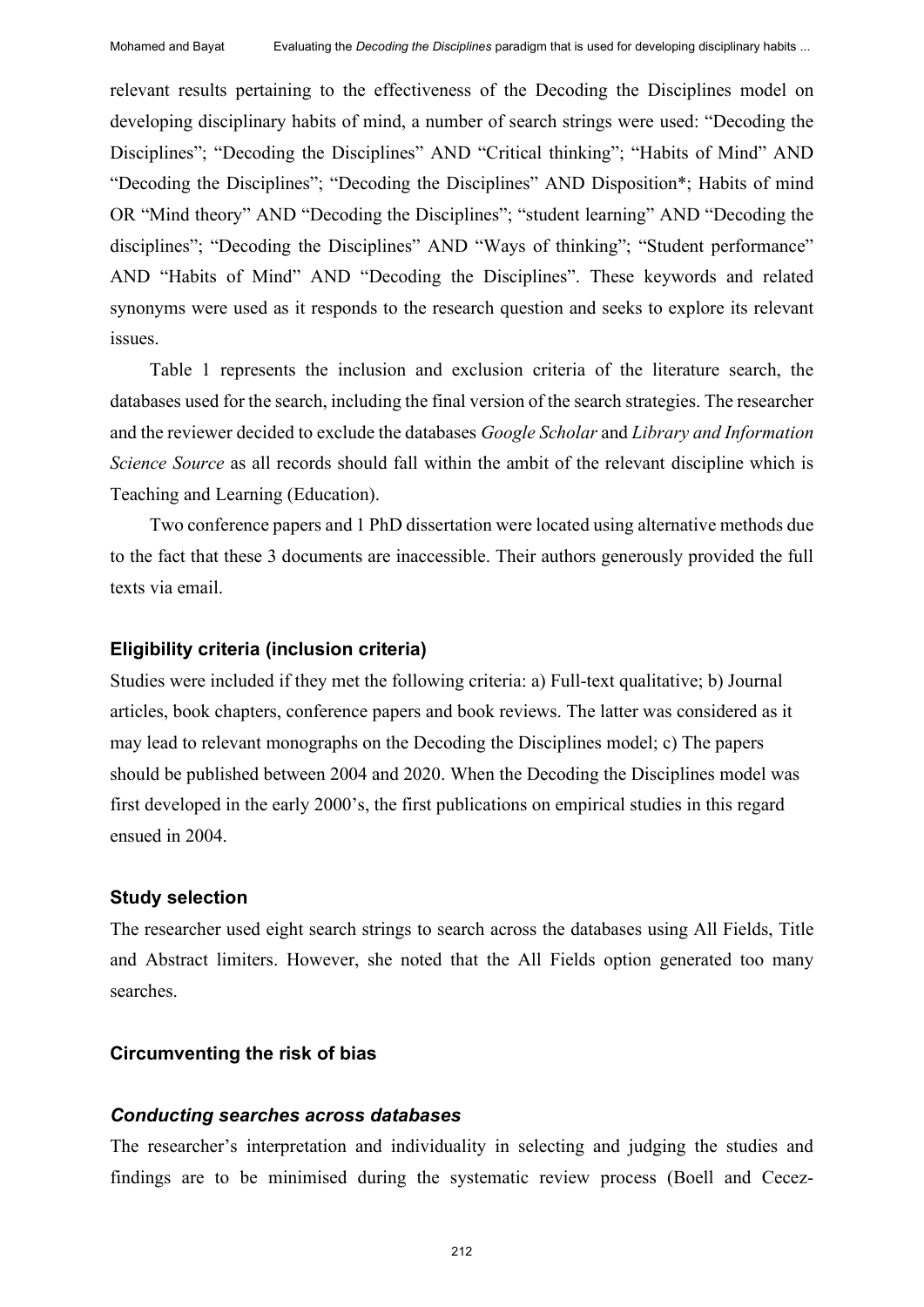relevant results pertaining to the effectiveness of the Decoding the Disciplines model on developing disciplinary habits of mind, a number of search strings were used: "Decoding the Disciplines"; "Decoding the Disciplines" AND "Critical thinking"; "Habits of Mind" AND "Decoding the Disciplines"; "Decoding the Disciplines" AND Disposition\*; Habits of mind OR "Mind theory" AND "Decoding the Disciplines"; "student learning" AND "Decoding the disciplines"; "Decoding the Disciplines" AND "Ways of thinking"; "Student performance" AND "Habits of Mind" AND "Decoding the Disciplines". These keywords and related synonyms were used as it responds to the research question and seeks to explore its relevant issues.

Table 1 represents the inclusion and exclusion criteria of the literature search, the databases used for the search, including the final version of the search strategies. The researcher and the reviewer decided to exclude the databases *Google Scholar* and *Library and Information Science Source* as all records should fall within the ambit of the relevant discipline which is Teaching and Learning (Education).

Two conference papers and 1 PhD dissertation were located using alternative methods due to the fact that these 3 documents are inaccessible. Their authors generously provided the full texts via email.

#### **Eligibility criteria (inclusion criteria)**

Studies were included if they met the following criteria: a) Full-text qualitative; b) Journal articles, book chapters, conference papers and book reviews. The latter was considered as it may lead to relevant monographs on the Decoding the Disciplines model; c) The papers should be published between 2004 and 2020. When the Decoding the Disciplines model was first developed in the early 2000's, the first publications on empirical studies in this regard ensued in 2004.

#### **Study selection**

The researcher used eight search strings to search across the databases using All Fields, Title and Abstract limiters. However, she noted that the All Fields option generated too many searches.

#### **Circumventing the risk of bias**

#### *Conducting searches across databases*

The researcher's interpretation and individuality in selecting and judging the studies and findings are to be minimised during the systematic review process (Boell and Cecez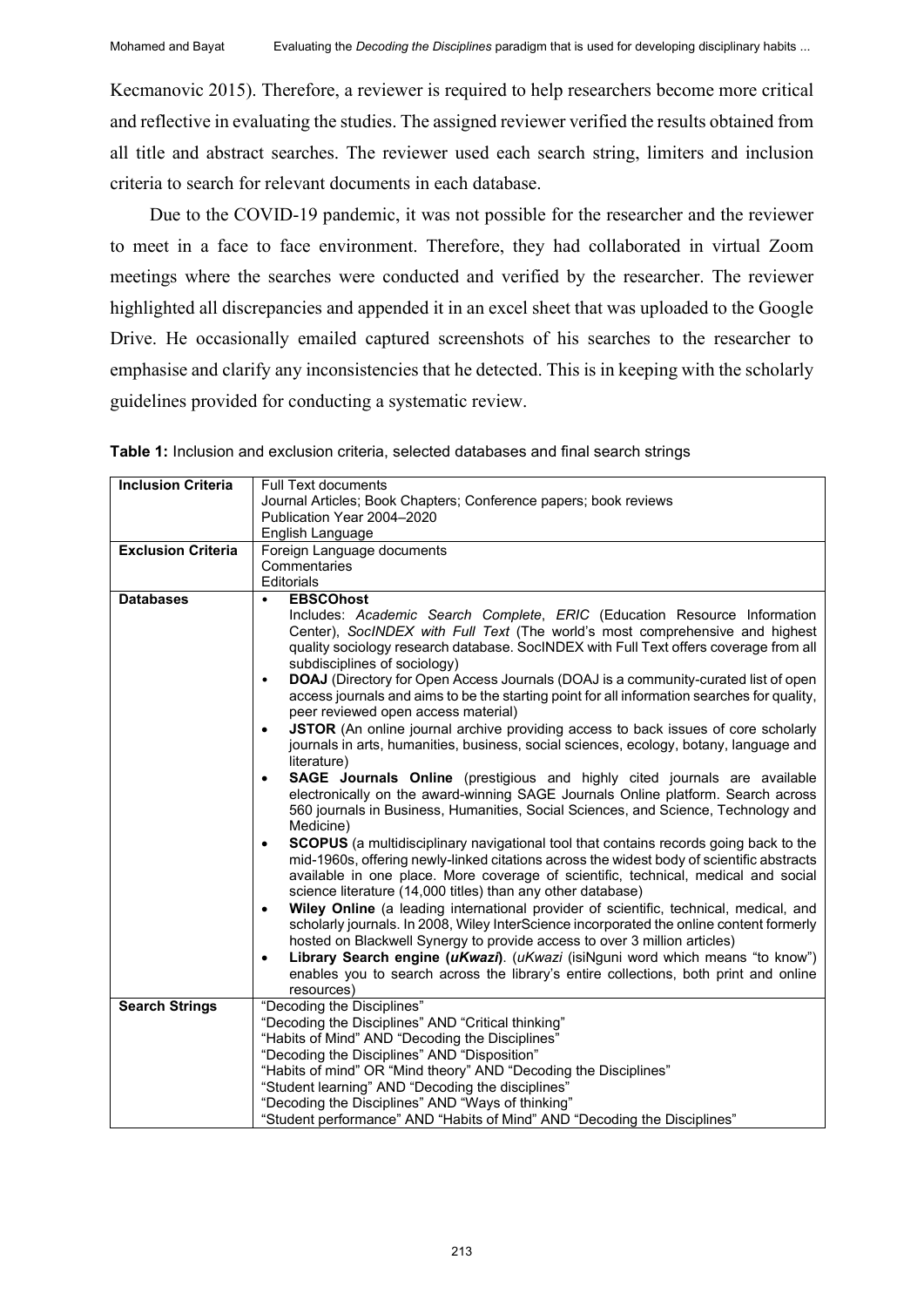Kecmanovic 2015). Therefore, a reviewer is required to help researchers become more critical and reflective in evaluating the studies. The assigned reviewer verified the results obtained from all title and abstract searches. The reviewer used each search string, limiters and inclusion criteria to search for relevant documents in each database.

Due to the COVID-19 pandemic, it was not possible for the researcher and the reviewer to meet in a face to face environment. Therefore, they had collaborated in virtual Zoom meetings where the searches were conducted and verified by the researcher. The reviewer highlighted all discrepancies and appended it in an excel sheet that was uploaded to the Google Drive. He occasionally emailed captured screenshots of his searches to the researcher to emphasise and clarify any inconsistencies that he detected. This is in keeping with the scholarly guidelines provided for conducting a systematic review.

| <b>Inclusion Criteria</b> | <b>Full Text documents</b>                                                                                |  |  |  |  |  |
|---------------------------|-----------------------------------------------------------------------------------------------------------|--|--|--|--|--|
|                           | Journal Articles; Book Chapters; Conference papers; book reviews                                          |  |  |  |  |  |
|                           | Publication Year 2004-2020                                                                                |  |  |  |  |  |
|                           | English Language                                                                                          |  |  |  |  |  |
| <b>Exclusion Criteria</b> | Foreign Language documents                                                                                |  |  |  |  |  |
|                           | Commentaries                                                                                              |  |  |  |  |  |
|                           | Editorials                                                                                                |  |  |  |  |  |
| <b>Databases</b>          | <b>EBSCOhost</b><br>$\bullet$                                                                             |  |  |  |  |  |
|                           | Includes: Academic Search Complete, ERIC (Education Resource Information                                  |  |  |  |  |  |
|                           | Center), SocINDEX with Full Text (The world's most comprehensive and highest                              |  |  |  |  |  |
|                           | quality sociology research database. SocINDEX with Full Text offers coverage from all                     |  |  |  |  |  |
|                           | subdisciplines of sociology)                                                                              |  |  |  |  |  |
|                           | DOAJ (Directory for Open Access Journals (DOAJ is a community-curated list of open<br>$\bullet$           |  |  |  |  |  |
|                           | access journals and aims to be the starting point for all information searches for quality,               |  |  |  |  |  |
|                           | peer reviewed open access material)                                                                       |  |  |  |  |  |
|                           | JSTOR (An online journal archive providing access to back issues of core scholarly<br>$\bullet$           |  |  |  |  |  |
|                           | journals in arts, humanities, business, social sciences, ecology, botany, language and                    |  |  |  |  |  |
|                           | literature)                                                                                               |  |  |  |  |  |
|                           | SAGE Journals Online (prestigious and highly cited journals are available<br>$\bullet$                    |  |  |  |  |  |
|                           | electronically on the award-winning SAGE Journals Online platform. Search across                          |  |  |  |  |  |
|                           | 560 journals in Business, Humanities, Social Sciences, and Science, Technology and                        |  |  |  |  |  |
|                           | Medicine)                                                                                                 |  |  |  |  |  |
|                           | <b>SCOPUS</b> (a multidisciplinary navigational tool that contains records going back to the<br>$\bullet$ |  |  |  |  |  |
|                           | mid-1960s, offering newly-linked citations across the widest body of scientific abstracts                 |  |  |  |  |  |
|                           | available in one place. More coverage of scientific, technical, medical and social                        |  |  |  |  |  |
|                           | science literature (14,000 titles) than any other database)                                               |  |  |  |  |  |
|                           | Wiley Online (a leading international provider of scientific, technical, medical, and<br>$\bullet$        |  |  |  |  |  |
|                           | scholarly journals. In 2008, Wiley InterScience incorporated the online content formerly                  |  |  |  |  |  |
|                           | hosted on Blackwell Synergy to provide access to over 3 million articles)                                 |  |  |  |  |  |
|                           | Library Search engine (uKwazi). (uKwazi (isiNguni word which means "to know")<br>$\bullet$                |  |  |  |  |  |
|                           |                                                                                                           |  |  |  |  |  |
|                           | enables you to search across the library's entire collections, both print and online                      |  |  |  |  |  |
|                           | resources)                                                                                                |  |  |  |  |  |
| <b>Search Strings</b>     | "Decoding the Disciplines"                                                                                |  |  |  |  |  |
|                           | "Decoding the Disciplines" AND "Critical thinking"                                                        |  |  |  |  |  |
|                           | "Habits of Mind" AND "Decoding the Disciplines"                                                           |  |  |  |  |  |
|                           | "Decoding the Disciplines" AND "Disposition"                                                              |  |  |  |  |  |
|                           | "Habits of mind" OR "Mind theory" AND "Decoding the Disciplines"                                          |  |  |  |  |  |
|                           | "Student learning" AND "Decoding the disciplines"                                                         |  |  |  |  |  |
|                           | "Decoding the Disciplines" AND "Ways of thinking"                                                         |  |  |  |  |  |
|                           | "Student performance" AND "Habits of Mind" AND "Decoding the Disciplines"                                 |  |  |  |  |  |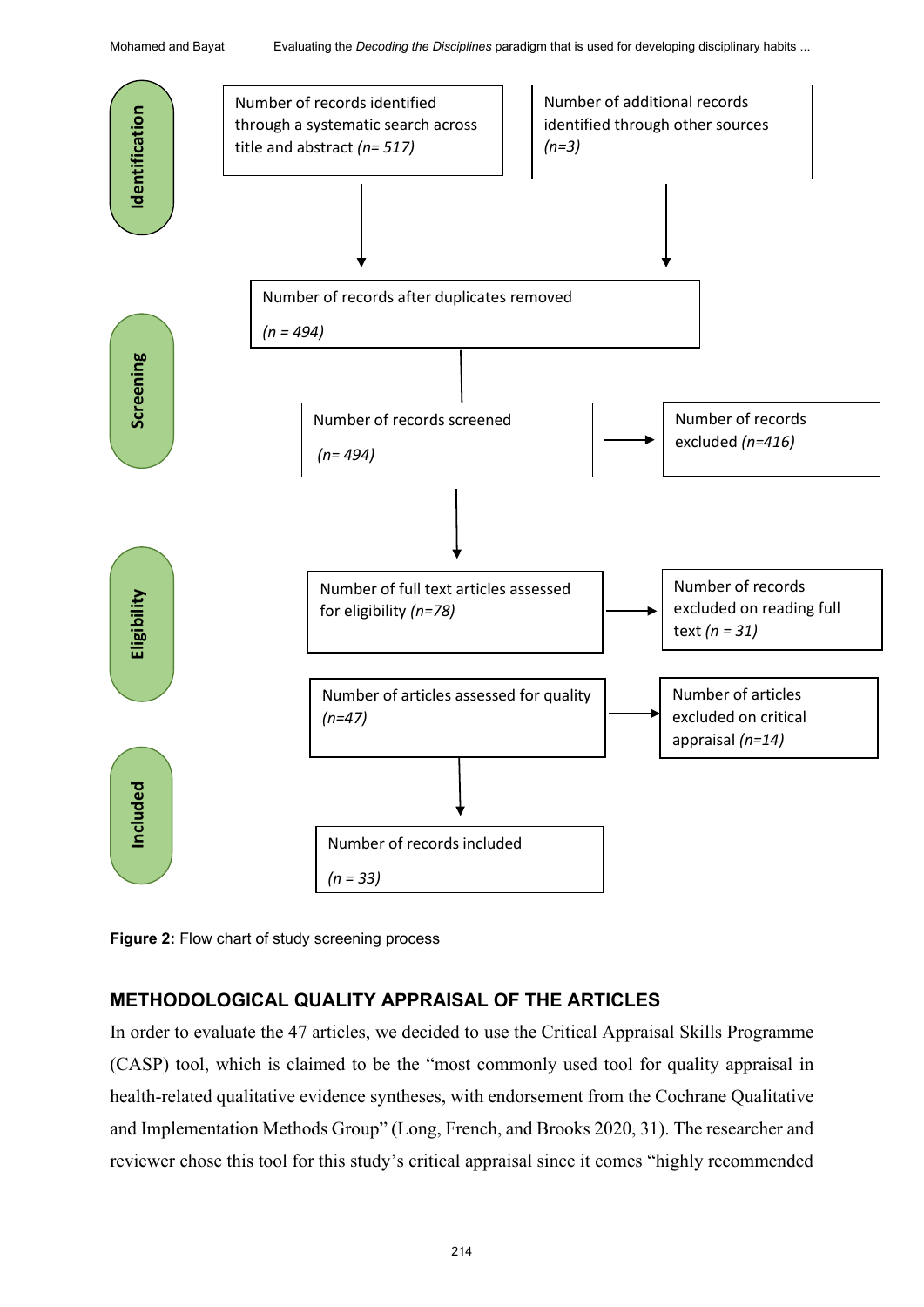

**Figure 2:** Flow chart of study screening process

## **METHODOLOGICAL QUALITY APPRAISAL OF THE ARTICLES**

In order to evaluate the 47 articles, we decided to use the Critical Appraisal Skills Programme (CASP) tool, which is claimed to be the "most commonly used tool for quality appraisal in health-related qualitative evidence syntheses, with endorsement from the Cochrane Qualitative and Implementation Methods Group" (Long, French, and Brooks 2020, 31). The researcher and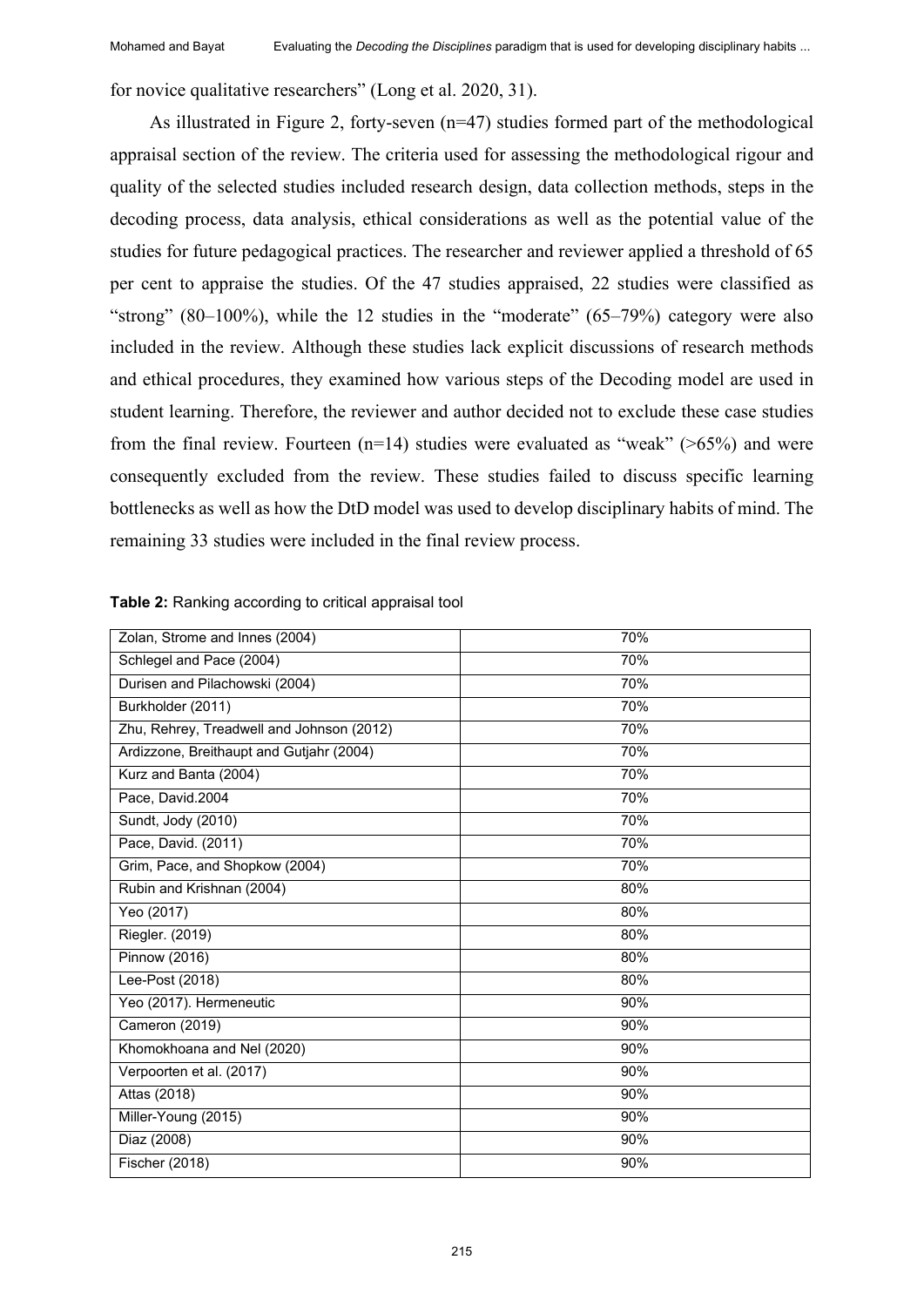for novice qualitative researchers" (Long et al. 2020, 31).

As illustrated in Figure 2, forty-seven (n=47) studies formed part of the methodological appraisal section of the review. The criteria used for assessing the methodological rigour and quality of the selected studies included research design, data collection methods, steps in the decoding process, data analysis, ethical considerations as well as the potential value of the studies for future pedagogical practices. The researcher and reviewer applied a threshold of 65 per cent to appraise the studies. Of the 47 studies appraised, 22 studies were classified as "strong"  $(80-100\%)$ , while the 12 studies in the "moderate"  $(65-79\%)$  category were also included in the review. Although these studies lack explicit discussions of research methods and ethical procedures, they examined how various steps of the Decoding model are used in student learning. Therefore, the reviewer and author decided not to exclude these case studies from the final review. Fourteen  $(n=14)$  studies were evaluated as "weak" (>65%) and were consequently excluded from the review. These studies failed to discuss specific learning bottlenecks as well as how the DtD model was used to develop disciplinary habits of mind. The remaining 33 studies were included in the final review process.

| Zolan, Strome and Innes (2004)            | 70% |
|-------------------------------------------|-----|
| Schlegel and Pace (2004)                  | 70% |
| Durisen and Pilachowski (2004)            | 70% |
| Burkholder (2011)                         | 70% |
| Zhu, Rehrey, Treadwell and Johnson (2012) | 70% |
| Ardizzone, Breithaupt and Gutjahr (2004)  | 70% |
| Kurz and Banta (2004)                     | 70% |
| Pace, David.2004                          | 70% |
| Sundt, Jody (2010)                        | 70% |
| Pace, David. (2011)                       | 70% |
| Grim, Pace, and Shopkow (2004)            | 70% |
| Rubin and Krishnan (2004)                 | 80% |
| Yeo (2017)                                | 80% |
| Riegler. (2019)                           | 80% |
| <b>Pinnow (2016)</b>                      | 80% |
| Lee-Post (2018)                           | 80% |
| Yeo (2017). Hermeneutic                   | 90% |
| Cameron (2019)                            | 90% |
| Khomokhoana and Nel (2020)                | 90% |
| Verpoorten et al. (2017)                  | 90% |
| Attas (2018)                              | 90% |
| Miller-Young (2015)                       | 90% |
| Diaz (2008)                               | 90% |
| Fischer (2018)                            | 90% |
|                                           |     |

**Table 2:** Ranking according to critical appraisal tool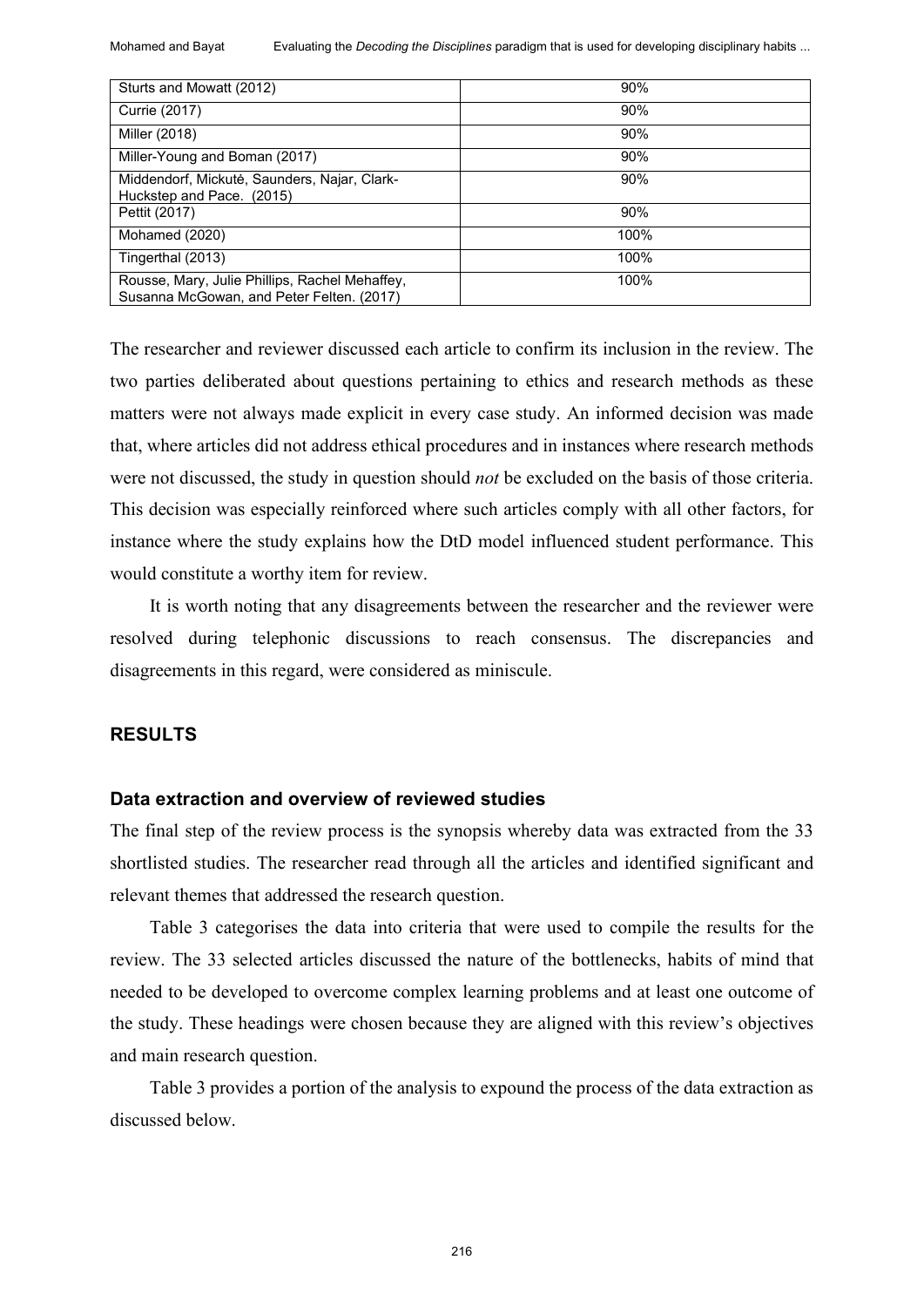Mohamed and Bayat Evaluating the *Decoding the Disciplines* paradigm that is used for developing disciplinary habits ...

| Sturts and Mowatt (2012)                                                                    | 90%  |  |  |  |
|---------------------------------------------------------------------------------------------|------|--|--|--|
| Currie (2017)                                                                               | 90%  |  |  |  |
| Miller (2018)                                                                               | 90%  |  |  |  |
| Miller-Young and Boman (2017)                                                               | 90%  |  |  |  |
| Middendorf, Mickutė, Saunders, Najar, Clark-<br>Huckstep and Pace. (2015)                   | 90%  |  |  |  |
| Pettit (2017)                                                                               | 90%  |  |  |  |
| Mohamed (2020)                                                                              | 100% |  |  |  |
| Tingerthal (2013)                                                                           | 100% |  |  |  |
| Rousse, Mary, Julie Phillips, Rachel Mehaffey,<br>Susanna McGowan, and Peter Felten. (2017) | 100% |  |  |  |

The researcher and reviewer discussed each article to confirm its inclusion in the review. The two parties deliberated about questions pertaining to ethics and research methods as these matters were not always made explicit in every case study. An informed decision was made that, where articles did not address ethical procedures and in instances where research methods were not discussed, the study in question should *not* be excluded on the basis of those criteria. This decision was especially reinforced where such articles comply with all other factors, for instance where the study explains how the DtD model influenced student performance. This would constitute a worthy item for review.

It is worth noting that any disagreements between the researcher and the reviewer were resolved during telephonic discussions to reach consensus. The discrepancies and disagreements in this regard, were considered as miniscule.

#### **RESULTS**

#### **Data extraction and overview of reviewed studies**

The final step of the review process is the synopsis whereby data was extracted from the 33 shortlisted studies. The researcher read through all the articles and identified significant and relevant themes that addressed the research question.

Table 3 categorises the data into criteria that were used to compile the results for the review. The 33 selected articles discussed the nature of the bottlenecks, habits of mind that needed to be developed to overcome complex learning problems and at least one outcome of the study. These headings were chosen because they are aligned with this review's objectives and main research question.

Table 3 provides a portion of the analysis to expound the process of the data extraction as discussed below.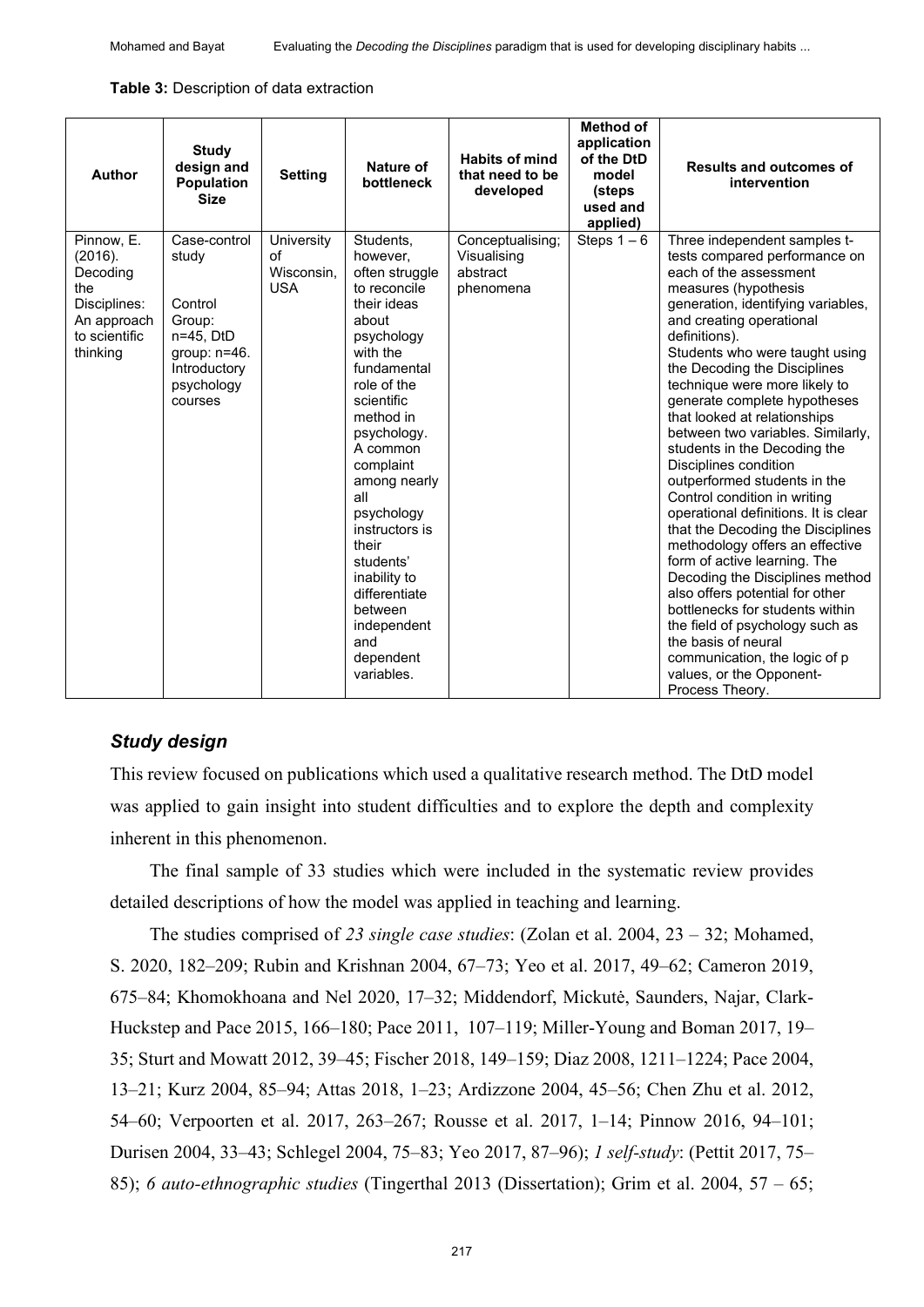**Table 3:** Description of data extraction

| <b>Author</b>                                                                                        | <b>Study</b><br>design and<br><b>Population</b><br><b>Size</b>                                                      | <b>Setting</b>                               | <b>Nature of</b><br>bottleneck                                                                                                                                                                                                                                                                                                                                                       | <b>Habits of mind</b><br>that need to be<br>developed    | Method of<br>application<br>of the DtD<br>model<br>(steps<br>used and<br>applied) | <b>Results and outcomes of</b><br>intervention                                                                                                                                                                                                                                                                                                                                                                                                                                                                                                                                                                                                                                                                                                                                                                                                                                                                                         |
|------------------------------------------------------------------------------------------------------|---------------------------------------------------------------------------------------------------------------------|----------------------------------------------|--------------------------------------------------------------------------------------------------------------------------------------------------------------------------------------------------------------------------------------------------------------------------------------------------------------------------------------------------------------------------------------|----------------------------------------------------------|-----------------------------------------------------------------------------------|----------------------------------------------------------------------------------------------------------------------------------------------------------------------------------------------------------------------------------------------------------------------------------------------------------------------------------------------------------------------------------------------------------------------------------------------------------------------------------------------------------------------------------------------------------------------------------------------------------------------------------------------------------------------------------------------------------------------------------------------------------------------------------------------------------------------------------------------------------------------------------------------------------------------------------------|
| Pinnow, E.<br>(2016).<br>Decoding<br>the<br>Disciplines:<br>An approach<br>to scientific<br>thinking | Case-control<br>study<br>Control<br>Group:<br>n=45, DtD<br>group: $n=46$ .<br>Introductory<br>psychology<br>courses | University<br>οf<br>Wisconsin,<br><b>USA</b> | Students,<br>however,<br>often struggle<br>to reconcile<br>their ideas<br>about<br>psychology<br>with the<br>fundamental<br>role of the<br>scientific<br>method in<br>psychology.<br>A common<br>complaint<br>among nearly<br>all<br>psychology<br>instructors is<br>their<br>students'<br>inability to<br>differentiate<br>between<br>independent<br>and<br>dependent<br>variables. | Conceptualising;<br>Visualising<br>abstract<br>phenomena | Steps $1-6$                                                                       | Three independent samples t-<br>tests compared performance on<br>each of the assessment<br>measures (hypothesis<br>generation, identifying variables,<br>and creating operational<br>definitions).<br>Students who were taught using<br>the Decoding the Disciplines<br>technique were more likely to<br>generate complete hypotheses<br>that looked at relationships<br>between two variables. Similarly,<br>students in the Decoding the<br>Disciplines condition<br>outperformed students in the<br>Control condition in writing<br>operational definitions. It is clear<br>that the Decoding the Disciplines<br>methodology offers an effective<br>form of active learning. The<br>Decoding the Disciplines method<br>also offers potential for other<br>bottlenecks for students within<br>the field of psychology such as<br>the basis of neural<br>communication, the logic of p<br>values, or the Opponent-<br>Process Theory. |

### *Study design*

This review focused on publications which used a qualitative research method. The DtD model was applied to gain insight into student difficulties and to explore the depth and complexity inherent in this phenomenon.

The final sample of 33 studies which were included in the systematic review provides detailed descriptions of how the model was applied in teaching and learning.

The studies comprised of *23 single case studies*: (Zolan et al. 2004, 23 – 32; Mohamed, S. 2020, 182–209; Rubin and Krishnan 2004, 67–73; Yeo et al. 2017, 49–62; Cameron 2019, 675‒84; Khomokhoana and Nel 2020, 17‒32; Middendorf, Mickutė, Saunders, Najar, Clark-Huckstep and Pace 2015, 166–180; Pace 2011, 107–119; Miller-Young and Boman 2017, 19– 35; Sturt and Mowatt 2012, 39‒45; Fischer 2018, 149‒159; Diaz 2008, 1211‒1224; Pace 2004, 13‒21; Kurz 2004, 85‒94; Attas 2018, 1‒23; Ardizzone 2004, 45‒56; Chen Zhu et al. 2012, 54–60; Verpoorten et al. 2017, 263–267; Rousse et al. 2017, 1–14; Pinnow 2016, 94–101; Durisen 2004, 33–43; Schlegel 2004, 75–83; Yeo 2017, 87–96); *1 self-study*: (Pettit 2017, 75– 85); *6 auto-ethnographic studies* (Tingerthal 2013 (Dissertation); Grim et al. 2004, 57 – 65;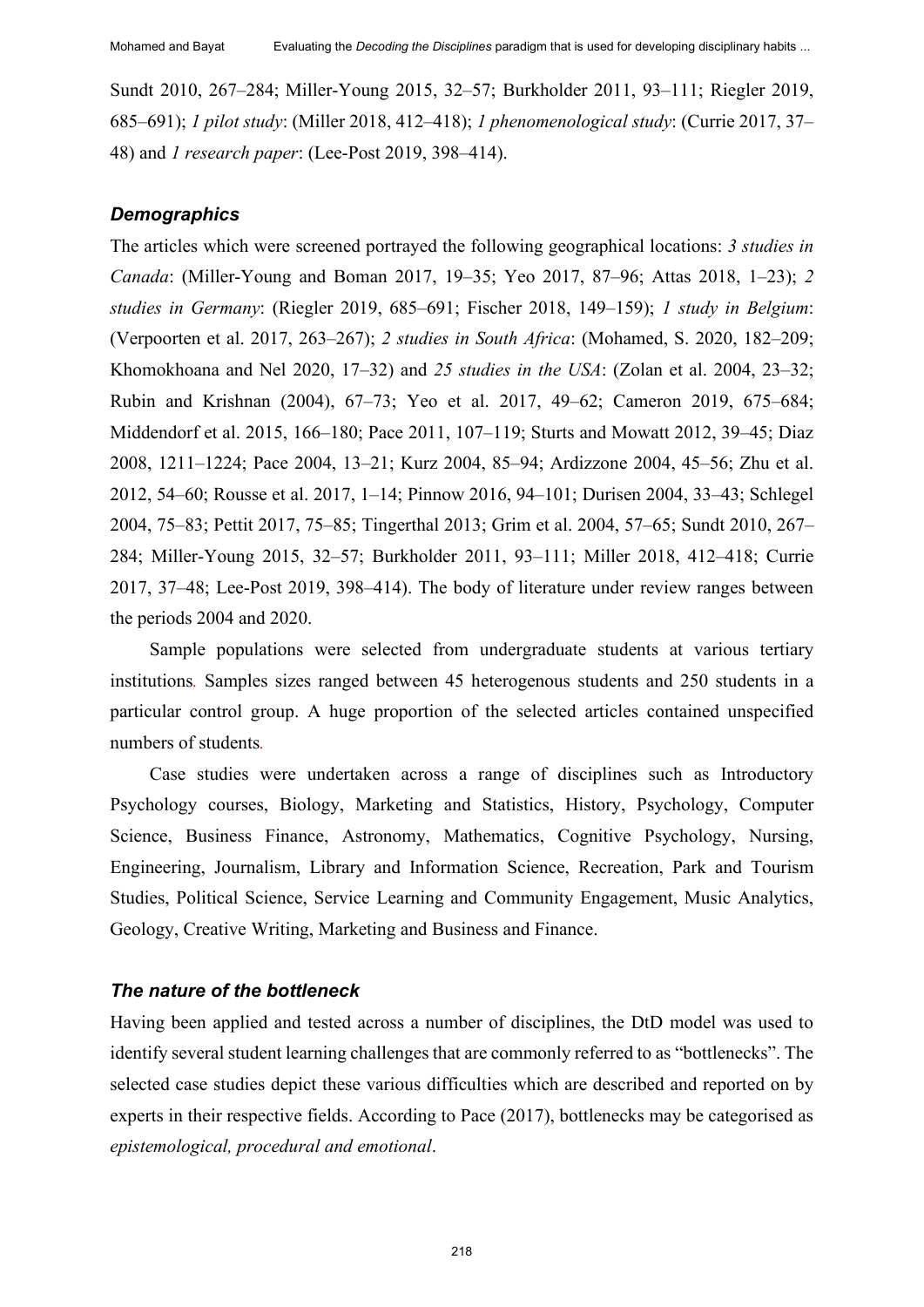Sundt 2010, 267–284; Miller-Young 2015, 32–57; Burkholder 2011, 93–111; Riegler 2019, 685–691); *1 pilot study*: (Miller 2018, 412–418); *1 phenomenological study*: (Currie 2017, 37– 48) and *1 research paper*: (Lee-Post 2019, 398–414).

#### *Demographics*

The articles which were screened portrayed the following geographical locations: *3 studies in Canada*: (Miller-Young and Boman 2017, 19–35; Yeo 2017, 87–96; Attas 2018, 1–23); 2 *studies in Germany*: (Riegler 2019, 685‒691; Fischer 2018, 149‒159); *1 study in Belgium*: (Verpoorten et al. 2017, 263‒267); *2 studies in South Africa*: (Mohamed, S. 2020, 182‒209; Khomokhoana and Nel 2020, 17‒32) and *25 studies in the USA*: (Zolan et al. 2004, 23–32; Rubin and Krishnan (2004), 67–73; Yeo et al. 2017, 49–62; Cameron 2019, 675–684; Middendorf et al. 2015, 166–180; Pace 2011, 107–119; Sturts and Mowatt 2012, 39–45; Diaz 2008, 1211‒1224; Pace 2004, 13‒21; Kurz 2004, 85‒94; Ardizzone 2004, 45‒56; Zhu et al. 2012, 54–60; Rousse et al. 2017, 1–14; Pinnow 2016, 94–101; Durisen 2004, 33–43; Schlegel 2004, 75–83; Pettit 2017, 75–85; Tingerthal 2013; Grim et al. 2004, 57–65; Sundt 2010, 267– 284; Miller-Young 2015, 32-57; Burkholder 2011, 93-111; Miller 2018, 412-418; Currie 2017, 37‒48; Lee-Post 2019, 398‒414). The body of literature under review ranges between the periods 2004 and 2020.

Sample populations were selected from undergraduate students at various tertiary institutions*.* Samples sizes ranged between 45 heterogenous students and 250 students in a particular control group. A huge proportion of the selected articles contained unspecified numbers of students*.*

Case studies were undertaken across a range of disciplines such as Introductory Psychology courses, Biology, Marketing and Statistics, History, Psychology, Computer Science, Business Finance, Astronomy, Mathematics, Cognitive Psychology, Nursing, Engineering, Journalism, Library and Information Science, Recreation, Park and Tourism Studies, Political Science, Service Learning and Community Engagement, Music Analytics, Geology, Creative Writing, Marketing and Business and Finance.

#### *The nature of the bottleneck*

Having been applied and tested across a number of disciplines, the DtD model was used to identify several student learning challenges that are commonly referred to as "bottlenecks". The selected case studies depict these various difficulties which are described and reported on by experts in their respective fields. According to Pace (2017), bottlenecks may be categorised as *epistemological, procedural and emotional*.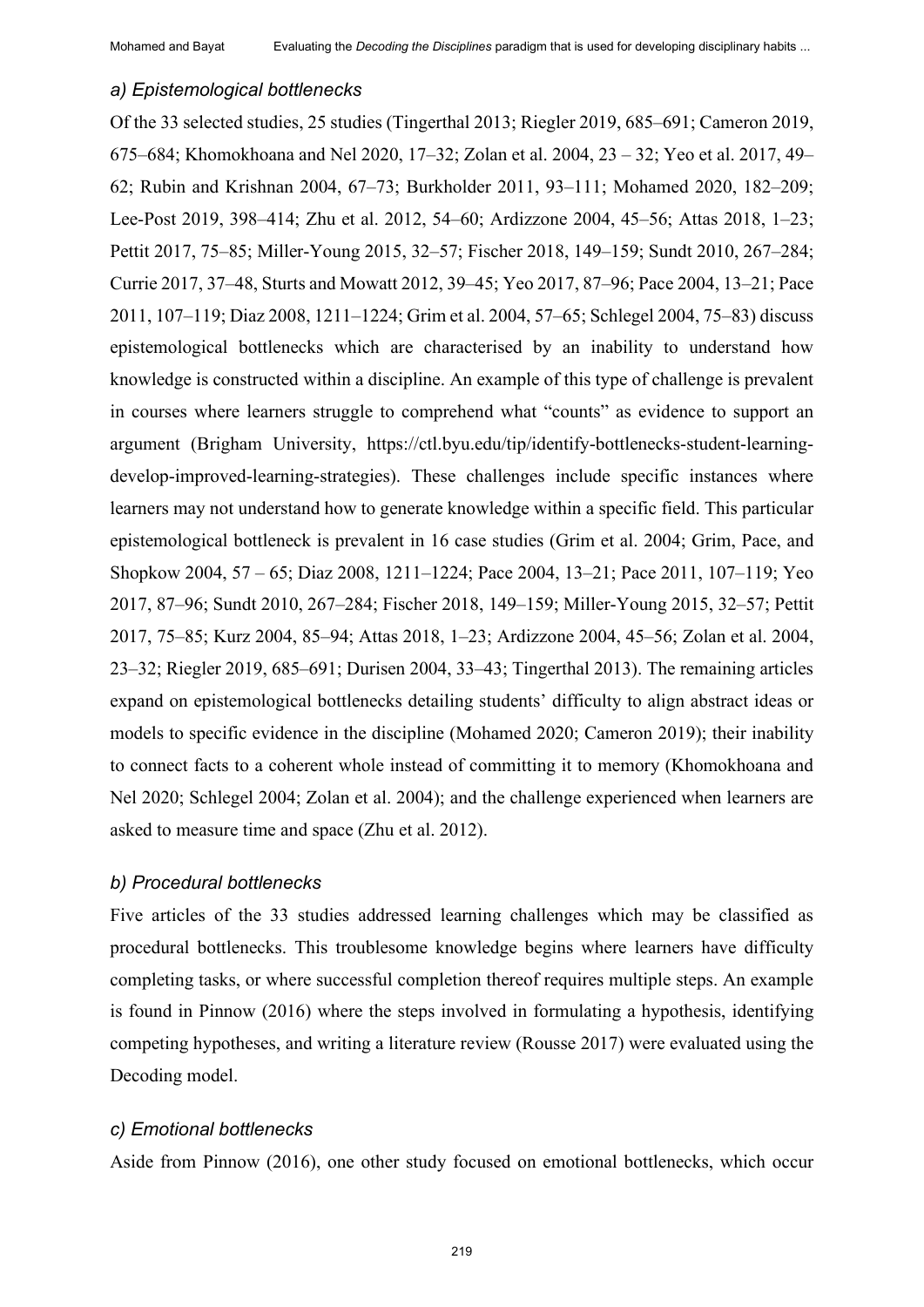#### *a) Epistemological bottlenecks*

Of the 33 selected studies, 25 studies (Tingerthal 2013; Riegler 2019, 685–691; Cameron 2019, 675–684; Khomokhoana and Nel 2020, 17–32; Zolan et al. 2004, 23 – 32; Yeo et al. 2017, 49– 62; Rubin and Krishnan 2004, 67–73; Burkholder 2011, 93–111; Mohamed 2020, 182–209; Lee-Post 2019, 398–414; Zhu et al. 2012, 54–60; Ardizzone 2004, 45–56; Attas 2018, 1–23; Pettit 2017, 75–85; Miller-Young 2015, 32–57; Fischer 2018, 149–159; Sundt 2010, 267–284; Currie 2017, 37‒48, Sturts and Mowatt 2012, 39‒45; Yeo 2017, 87‒96; Pace 2004, 13‒21; Pace 2011, 107–119; Diaz 2008, 1211–1224; Grim et al. 2004, 57–65; Schlegel 2004, 75–83) discuss epistemological bottlenecks which are characterised by an inability to understand how knowledge is constructed within a discipline. An example of this type of challenge is prevalent in courses where learners struggle to comprehend what "counts" as evidence to support an argument (Brigham University, https://ctl.byu.edu/tip/identify-bottlenecks-student-learningdevelop-improved-learning-strategies). These challenges include specific instances where learners may not understand how to generate knowledge within a specific field. This particular epistemological bottleneck is prevalent in 16 case studies (Grim et al. 2004; Grim, Pace, and Shopkow 2004, 57 – 65; Diaz 2008, 1211–1224; Pace 2004, 13–21; Pace 2011, 107–119; Yeo 2017, 87‒96; Sundt 2010, 267‒284; Fischer 2018, 149‒159; Miller-Young 2015, 32‒57; Pettit 2017, 75‒85; Kurz 2004, 85‒94; Attas 2018, 1‒23; Ardizzone 2004, 45‒56; Zolan et al. 2004, 23–32; Riegler 2019, 685–691; Durisen 2004, 33–43; Tingerthal 2013). The remaining articles expand on epistemological bottlenecks detailing students' difficulty to align abstract ideas or models to specific evidence in the discipline (Mohamed 2020; Cameron 2019); their inability to connect facts to a coherent whole instead of committing it to memory (Khomokhoana and Nel 2020; Schlegel 2004; Zolan et al. 2004); and the challenge experienced when learners are asked to measure time and space (Zhu et al. 2012).

#### *b) Procedural bottlenecks*

Five articles of the 33 studies addressed learning challenges which may be classified as procedural bottlenecks. This troublesome knowledge begins where learners have difficulty completing tasks, or where successful completion thereof requires multiple steps. An example is found in Pinnow (2016) where the steps involved in formulating a hypothesis, identifying competing hypotheses, and writing a literature review (Rousse 2017) were evaluated using the Decoding model.

#### *c) Emotional bottlenecks*

Aside from Pinnow (2016), one other study focused on emotional bottlenecks, which occur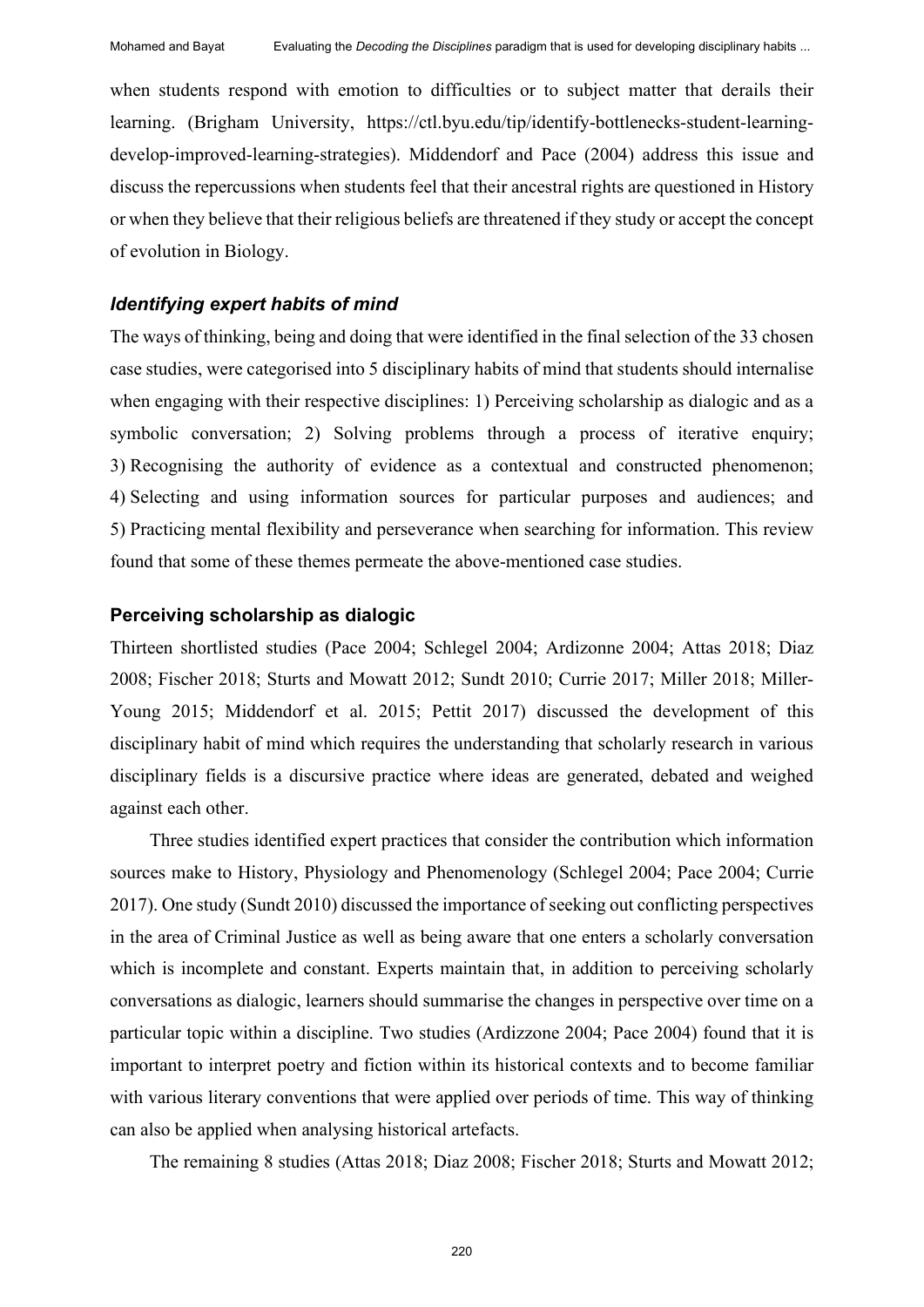Mohamed and Bayat Evaluating the *Decoding the Disciplines* paradigm that is used for developing disciplinary habits ...

when students respond with emotion to difficulties or to subject matter that derails their learning. (Brigham University, https://ctl.byu.edu/tip/identify-bottlenecks-student-learningdevelop-improved-learning-strategies). Middendorf and Pace (2004) address this issue and discuss the repercussions when students feel that their ancestral rights are questioned in History or when they believe that their religious beliefs are threatened if they study or accept the concept of evolution in Biology.

#### *Identifying expert habits of mind*

The ways of thinking, being and doing that were identified in the final selection of the 33 chosen case studies, were categorised into 5 disciplinary habits of mind that students should internalise when engaging with their respective disciplines: 1) Perceiving scholarship as dialogic and as a symbolic conversation; 2) Solving problems through a process of iterative enquiry; 3) Recognising the authority of evidence as a contextual and constructed phenomenon; 4) Selecting and using information sources for particular purposes and audiences; and 5) Practicing mental flexibility and perseverance when searching for information. This review found that some of these themes permeate the above-mentioned case studies.

#### **Perceiving scholarship as dialogic**

Thirteen shortlisted studies (Pace 2004; Schlegel 2004; Ardizonne 2004; Attas 2018; Diaz 2008; Fischer 2018; Sturts and Mowatt 2012; Sundt 2010; Currie 2017; Miller 2018; Miller-Young 2015; Middendorf et al. 2015; Pettit 2017) discussed the development of this disciplinary habit of mind which requires the understanding that scholarly research in various disciplinary fields is a discursive practice where ideas are generated, debated and weighed against each other.

Three studies identified expert practices that consider the contribution which information sources make to History, Physiology and Phenomenology (Schlegel 2004; Pace 2004; Currie 2017). One study (Sundt 2010) discussed the importance of seeking out conflicting perspectives in the area of Criminal Justice as well as being aware that one enters a scholarly conversation which is incomplete and constant. Experts maintain that, in addition to perceiving scholarly conversations as dialogic, learners should summarise the changes in perspective over time on a particular topic within a discipline. Two studies (Ardizzone 2004; Pace 2004) found that it is important to interpret poetry and fiction within its historical contexts and to become familiar with various literary conventions that were applied over periods of time. This way of thinking can also be applied when analysing historical artefacts.

The remaining 8 studies (Attas 2018; Diaz 2008; Fischer 2018; Sturts and Mowatt 2012;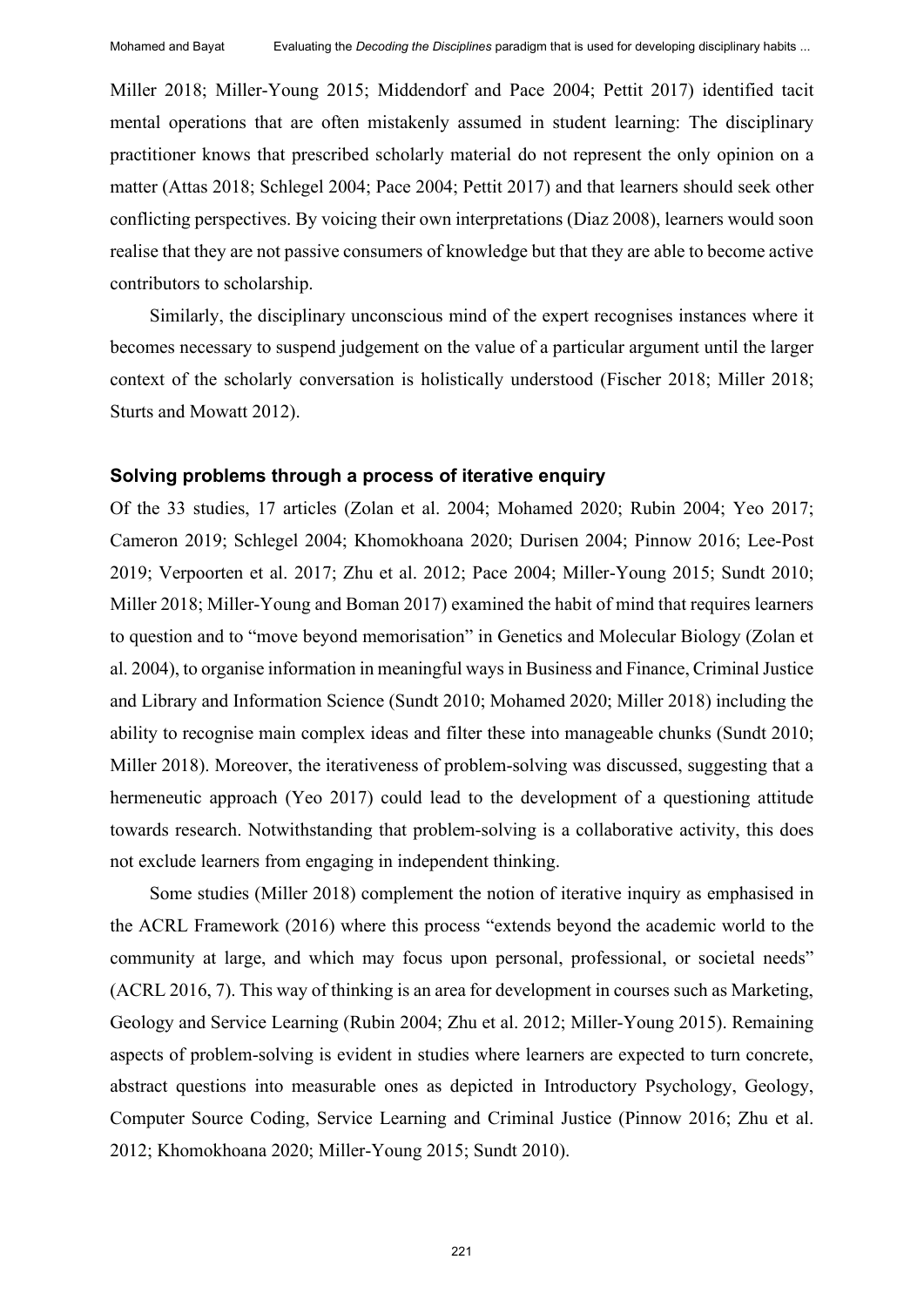Miller 2018; Miller-Young 2015; Middendorf and Pace 2004; Pettit 2017) identified tacit mental operations that are often mistakenly assumed in student learning: The disciplinary practitioner knows that prescribed scholarly material do not represent the only opinion on a matter (Attas 2018; Schlegel 2004; Pace 2004; Pettit 2017) and that learners should seek other conflicting perspectives. By voicing their own interpretations (Diaz 2008), learners would soon realise that they are not passive consumers of knowledge but that they are able to become active contributors to scholarship.

Similarly, the disciplinary unconscious mind of the expert recognises instances where it becomes necessary to suspend judgement on the value of a particular argument until the larger context of the scholarly conversation is holistically understood (Fischer 2018; Miller 2018; Sturts and Mowatt 2012).

#### **Solving problems through a process of iterative enquiry**

Of the 33 studies, 17 articles (Zolan et al. 2004; Mohamed 2020; Rubin 2004; Yeo 2017; Cameron 2019; Schlegel 2004; Khomokhoana 2020; Durisen 2004; Pinnow 2016; Lee-Post 2019; Verpoorten et al. 2017; Zhu et al. 2012; Pace 2004; Miller-Young 2015; Sundt 2010; Miller 2018; Miller-Young and Boman 2017) examined the habit of mind that requires learners to question and to "move beyond memorisation" in Genetics and Molecular Biology (Zolan et al. 2004), to organise information in meaningful waysin Business and Finance, Criminal Justice and Library and Information Science (Sundt 2010; Mohamed 2020; Miller 2018) including the ability to recognise main complex ideas and filter these into manageable chunks (Sundt 2010; Miller 2018). Moreover, the iterativeness of problem-solving was discussed, suggesting that a hermeneutic approach (Yeo 2017) could lead to the development of a questioning attitude towards research. Notwithstanding that problem-solving is a collaborative activity, this does not exclude learners from engaging in independent thinking.

Some studies (Miller 2018) complement the notion of iterative inquiry as emphasised in the ACRL Framework (2016) where this process "extends beyond the academic world to the community at large, and which may focus upon personal, professional, or societal needs" (ACRL 2016, 7). This way of thinking is an area for development in courses such as Marketing, Geology and Service Learning (Rubin 2004; Zhu et al. 2012; Miller-Young 2015). Remaining aspects of problem-solving is evident in studies where learners are expected to turn concrete, abstract questions into measurable ones as depicted in Introductory Psychology, Geology, Computer Source Coding, Service Learning and Criminal Justice (Pinnow 2016; Zhu et al. 2012; Khomokhoana 2020; Miller-Young 2015; Sundt 2010).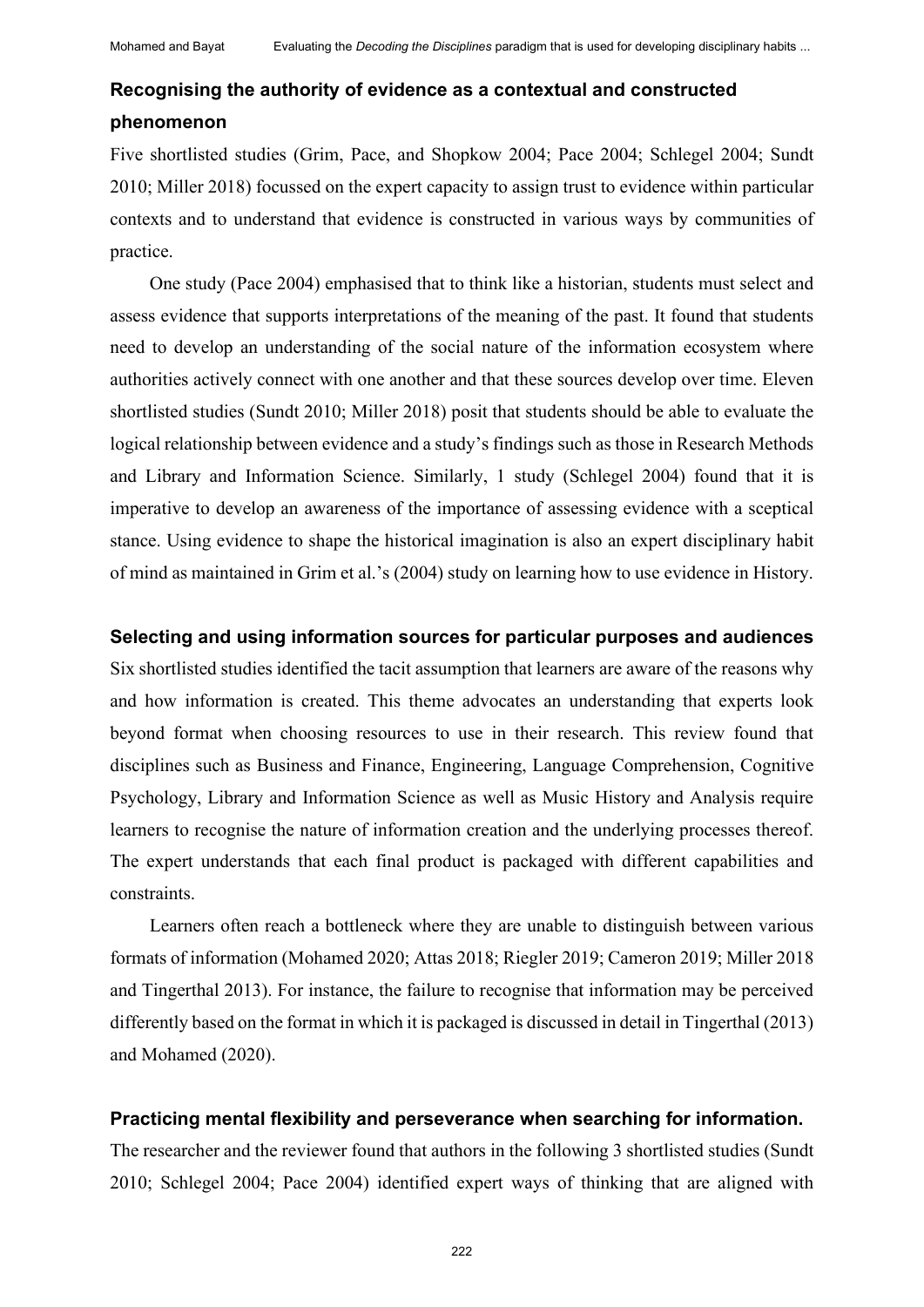# **Recognising the authority of evidence as a contextual and constructed phenomenon**

Five shortlisted studies (Grim, Pace, and Shopkow 2004; Pace 2004; Schlegel 2004; Sundt 2010; Miller 2018) focussed on the expert capacity to assign trust to evidence within particular contexts and to understand that evidence is constructed in various ways by communities of practice.

One study (Pace 2004) emphasised that to think like a historian, students must select and assess evidence that supports interpretations of the meaning of the past. It found that students need to develop an understanding of the social nature of the information ecosystem where authorities actively connect with one another and that these sources develop over time. Eleven shortlisted studies (Sundt 2010; Miller 2018) posit that students should be able to evaluate the logical relationship between evidence and a study's findings such as those in Research Methods and Library and Information Science. Similarly, 1 study (Schlegel 2004) found that it is imperative to develop an awareness of the importance of assessing evidence with a sceptical stance. Using evidence to shape the historical imagination is also an expert disciplinary habit of mind as maintained in Grim et al.'s (2004) study on learning how to use evidence in History.

#### **Selecting and using information sources for particular purposes and audiences**

Six shortlisted studies identified the tacit assumption that learners are aware of the reasons why and how information is created. This theme advocates an understanding that experts look beyond format when choosing resources to use in their research. This review found that disciplines such as Business and Finance, Engineering, Language Comprehension, Cognitive Psychology, Library and Information Science as well as Music History and Analysis require learners to recognise the nature of information creation and the underlying processes thereof. The expert understands that each final product is packaged with different capabilities and constraints.

Learners often reach a bottleneck where they are unable to distinguish between various formats of information (Mohamed 2020; Attas 2018; Riegler 2019; Cameron 2019; Miller 2018 and Tingerthal 2013). For instance, the failure to recognise that information may be perceived differently based on the format in which it is packaged is discussed in detail in Tingerthal (2013) and Mohamed (2020).

#### **Practicing mental flexibility and perseverance when searching for information.**

The researcher and the reviewer found that authors in the following 3 shortlisted studies (Sundt 2010; Schlegel 2004; Pace 2004) identified expert ways of thinking that are aligned with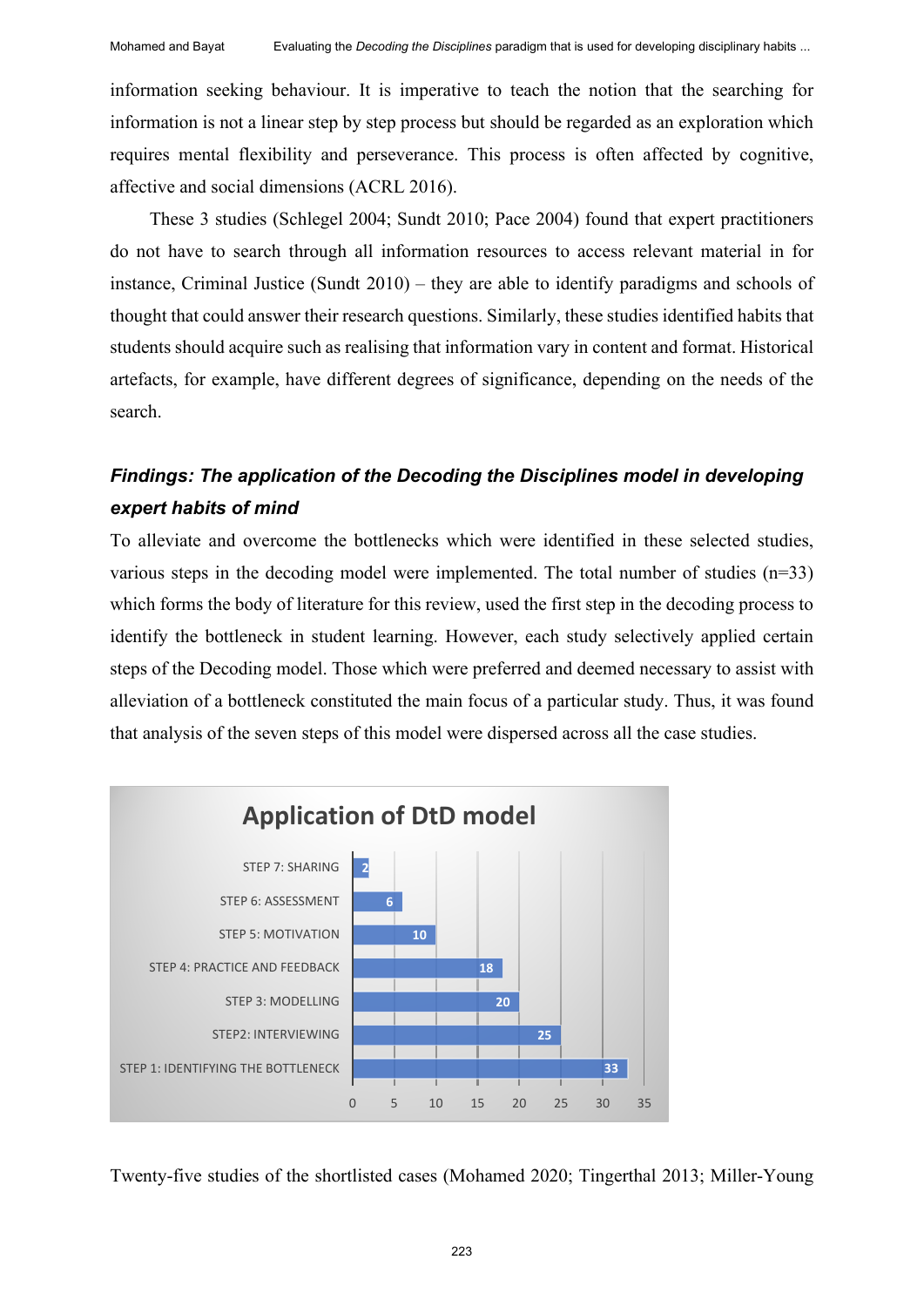information seeking behaviour. It is imperative to teach the notion that the searching for information is not a linear step by step process but should be regarded as an exploration which requires mental flexibility and perseverance. This process is often affected by cognitive, affective and social dimensions (ACRL 2016).

These 3 studies (Schlegel 2004; Sundt 2010; Pace 2004) found that expert practitioners do not have to search through all information resources to access relevant material in for instance, Criminal Justice (Sundt 2010) – they are able to identify paradigms and schools of thought that could answer their research questions. Similarly, these studies identified habits that students should acquire such as realising that information vary in content and format. Historical artefacts, for example, have different degrees of significance, depending on the needs of the search.

# *Findings: The application of the Decoding the Disciplines model in developing expert habits of mind*

To alleviate and overcome the bottlenecks which were identified in these selected studies, various steps in the decoding model were implemented. The total number of studies  $(n=33)$ which forms the body of literature for this review, used the first step in the decoding process to identify the bottleneck in student learning. However, each study selectively applied certain steps of the Decoding model. Those which were preferred and deemed necessary to assist with alleviation of a bottleneck constituted the main focus of a particular study. Thus, it was found that analysis of the seven steps of this model were dispersed across all the case studies.



Twenty-five studies of the shortlisted cases (Mohamed 2020; Tingerthal 2013; Miller-Young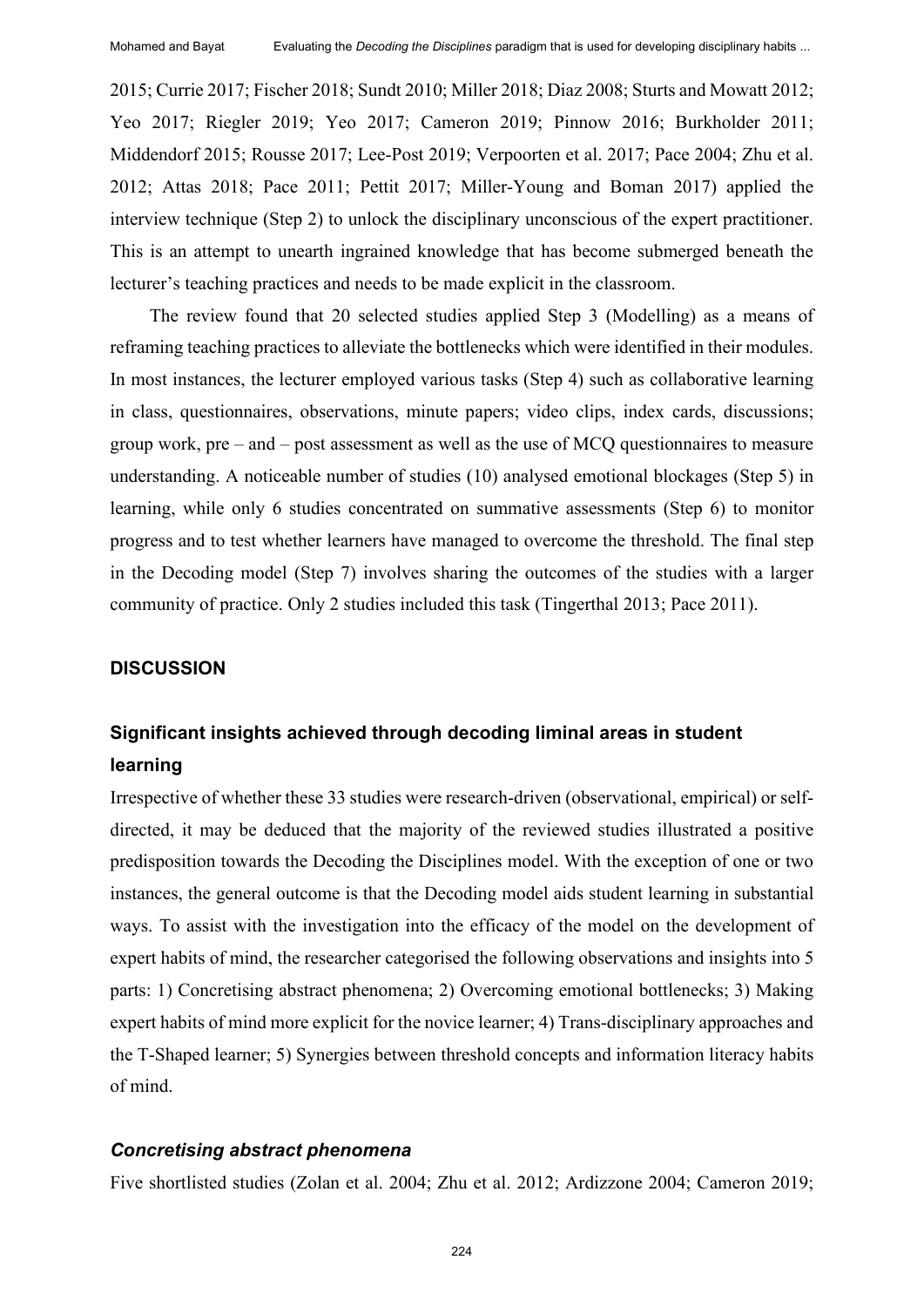2015; Currie 2017; Fischer 2018; Sundt 2010; Miller 2018; Diaz 2008; Sturts and Mowatt 2012; Yeo 2017; Riegler 2019; Yeo 2017; Cameron 2019; Pinnow 2016; Burkholder 2011; Middendorf 2015; Rousse 2017; Lee-Post 2019; Verpoorten et al. 2017; Pace 2004; Zhu et al. 2012; Attas 2018; Pace 2011; Pettit 2017; Miller-Young and Boman 2017) applied the interview technique (Step 2) to unlock the disciplinary unconscious of the expert practitioner. This is an attempt to unearth ingrained knowledge that has become submerged beneath the lecturer's teaching practices and needs to be made explicit in the classroom.

The review found that 20 selected studies applied Step 3 (Modelling) as a means of reframing teaching practices to alleviate the bottlenecks which were identified in their modules. In most instances, the lecturer employed various tasks (Step 4) such as collaborative learning in class, questionnaires, observations, minute papers; video clips, index cards, discussions; group work, pre – and – post assessment as well as the use of MCQ questionnaires to measure understanding. A noticeable number of studies (10) analysed emotional blockages (Step 5) in learning, while only 6 studies concentrated on summative assessments (Step 6) to monitor progress and to test whether learners have managed to overcome the threshold. The final step in the Decoding model (Step 7) involves sharing the outcomes of the studies with a larger community of practice. Only 2 studies included this task (Tingerthal 2013; Pace 2011).

#### **DISCUSSION**

# **Significant insights achieved through decoding liminal areas in student learning**

Irrespective of whether these 33 studies were research-driven (observational, empirical) or selfdirected, it may be deduced that the majority of the reviewed studies illustrated a positive predisposition towards the Decoding the Disciplines model. With the exception of one or two instances, the general outcome is that the Decoding model aids student learning in substantial ways. To assist with the investigation into the efficacy of the model on the development of expert habits of mind, the researcher categorised the following observations and insights into 5 parts: 1) Concretising abstract phenomena; 2) Overcoming emotional bottlenecks; 3) Making expert habits of mind more explicit for the novice learner; 4) Trans-disciplinary approaches and the T-Shaped learner; 5) Synergies between threshold concepts and information literacy habits of mind.

#### *Concretising abstract phenomena*

Five shortlisted studies (Zolan et al. 2004; Zhu et al. 2012; Ardizzone 2004; Cameron 2019;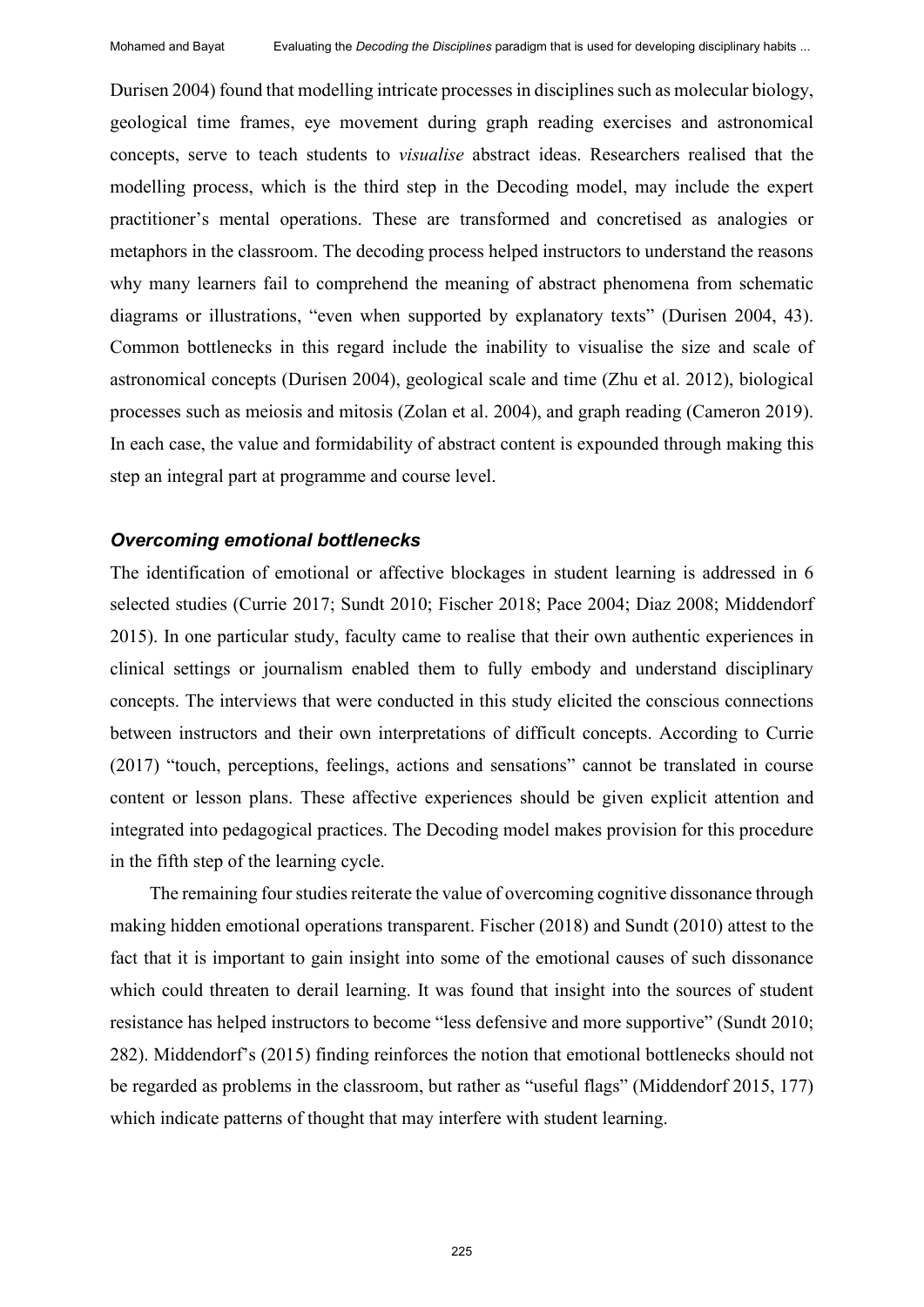Durisen 2004) found that modelling intricate processes in disciplines such as molecular biology, geological time frames, eye movement during graph reading exercises and astronomical concepts, serve to teach students to *visualise* abstract ideas. Researchers realised that the modelling process, which is the third step in the Decoding model, may include the expert practitioner's mental operations. These are transformed and concretised as analogies or metaphors in the classroom. The decoding process helped instructors to understand the reasons why many learners fail to comprehend the meaning of abstract phenomena from schematic diagrams or illustrations, "even when supported by explanatory texts" (Durisen 2004, 43). Common bottlenecks in this regard include the inability to visualise the size and scale of astronomical concepts (Durisen 2004), geological scale and time (Zhu et al. 2012), biological processes such as meiosis and mitosis (Zolan et al. 2004), and graph reading (Cameron 2019). In each case, the value and formidability of abstract content is expounded through making this step an integral part at programme and course level.

#### *Overcoming emotional bottlenecks*

The identification of emotional or affective blockages in student learning is addressed in 6 selected studies (Currie 2017; Sundt 2010; Fischer 2018; Pace 2004; Diaz 2008; Middendorf 2015). In one particular study, faculty came to realise that their own authentic experiences in clinical settings or journalism enabled them to fully embody and understand disciplinary concepts. The interviews that were conducted in this study elicited the conscious connections between instructors and their own interpretations of difficult concepts. According to Currie (2017) "touch, perceptions, feelings, actions and sensations" cannot be translated in course content or lesson plans. These affective experiences should be given explicit attention and integrated into pedagogical practices. The Decoding model makes provision for this procedure in the fifth step of the learning cycle.

The remaining four studies reiterate the value of overcoming cognitive dissonance through making hidden emotional operations transparent. Fischer (2018) and Sundt (2010) attest to the fact that it is important to gain insight into some of the emotional causes of such dissonance which could threaten to derail learning. It was found that insight into the sources of student resistance has helped instructors to become "less defensive and more supportive" (Sundt 2010; 282). Middendorf's (2015) finding reinforces the notion that emotional bottlenecks should not be regarded as problems in the classroom, but rather as "useful flags" (Middendorf 2015, 177) which indicate patterns of thought that may interfere with student learning.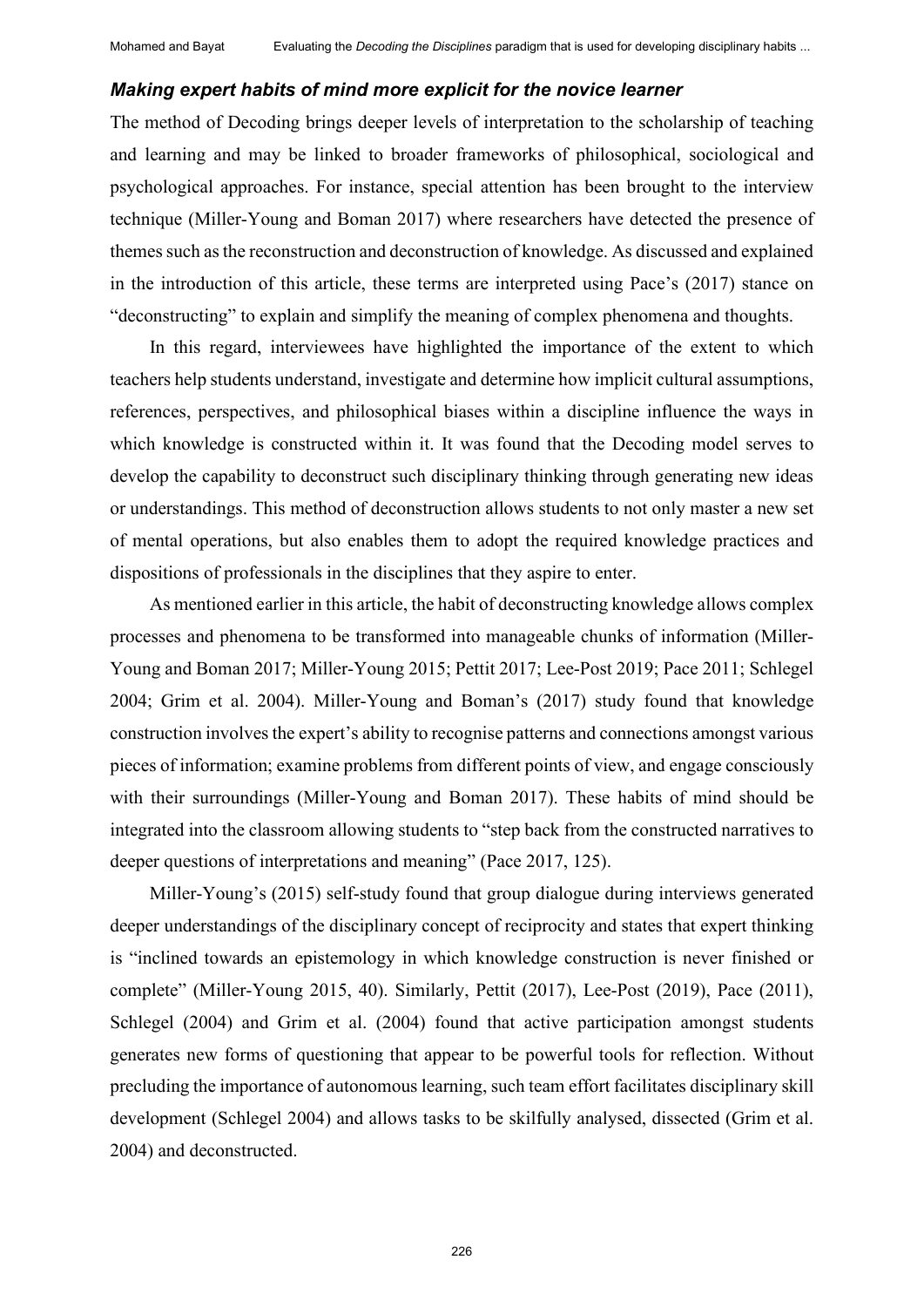#### *Making expert habits of mind more explicit for the novice learner*

The method of Decoding brings deeper levels of interpretation to the scholarship of teaching and learning and may be linked to broader frameworks of philosophical, sociological and psychological approaches. For instance, special attention has been brought to the interview technique (Miller-Young and Boman 2017) where researchers have detected the presence of themes such as the reconstruction and deconstruction of knowledge. As discussed and explained in the introduction of this article, these terms are interpreted using Pace's (2017) stance on "deconstructing" to explain and simplify the meaning of complex phenomena and thoughts.

In this regard, interviewees have highlighted the importance of the extent to which teachers help students understand, investigate and determine how implicit cultural assumptions, references, perspectives, and philosophical biases within a discipline influence the ways in which knowledge is constructed within it. It was found that the Decoding model serves to develop the capability to deconstruct such disciplinary thinking through generating new ideas or understandings. This method of deconstruction allows students to not only master a new set of mental operations, but also enables them to adopt the required knowledge practices and dispositions of professionals in the disciplines that they aspire to enter.

As mentioned earlier in this article, the habit of deconstructing knowledge allows complex processes and phenomena to be transformed into manageable chunks of information (Miller-Young and Boman 2017; Miller-Young 2015; Pettit 2017; Lee-Post 2019; Pace 2011; Schlegel 2004; Grim et al. 2004). Miller-Young and Boman's (2017) study found that knowledge construction involves the expert's ability to recognise patterns and connections amongst various pieces of information; examine problems from different points of view, and engage consciously with their surroundings (Miller-Young and Boman 2017). These habits of mind should be integrated into the classroom allowing students to "step back from the constructed narratives to deeper questions of interpretations and meaning" (Pace 2017, 125).

Miller-Young's (2015) self-study found that group dialogue during interviews generated deeper understandings of the disciplinary concept of reciprocity and states that expert thinking is "inclined towards an epistemology in which knowledge construction is never finished or complete" (Miller-Young 2015, 40). Similarly, Pettit (2017), Lee-Post (2019), Pace (2011), Schlegel (2004) and Grim et al. (2004) found that active participation amongst students generates new forms of questioning that appear to be powerful tools for reflection. Without precluding the importance of autonomous learning, such team effort facilitates disciplinary skill development (Schlegel 2004) and allows tasks to be skilfully analysed, dissected (Grim et al. 2004) and deconstructed.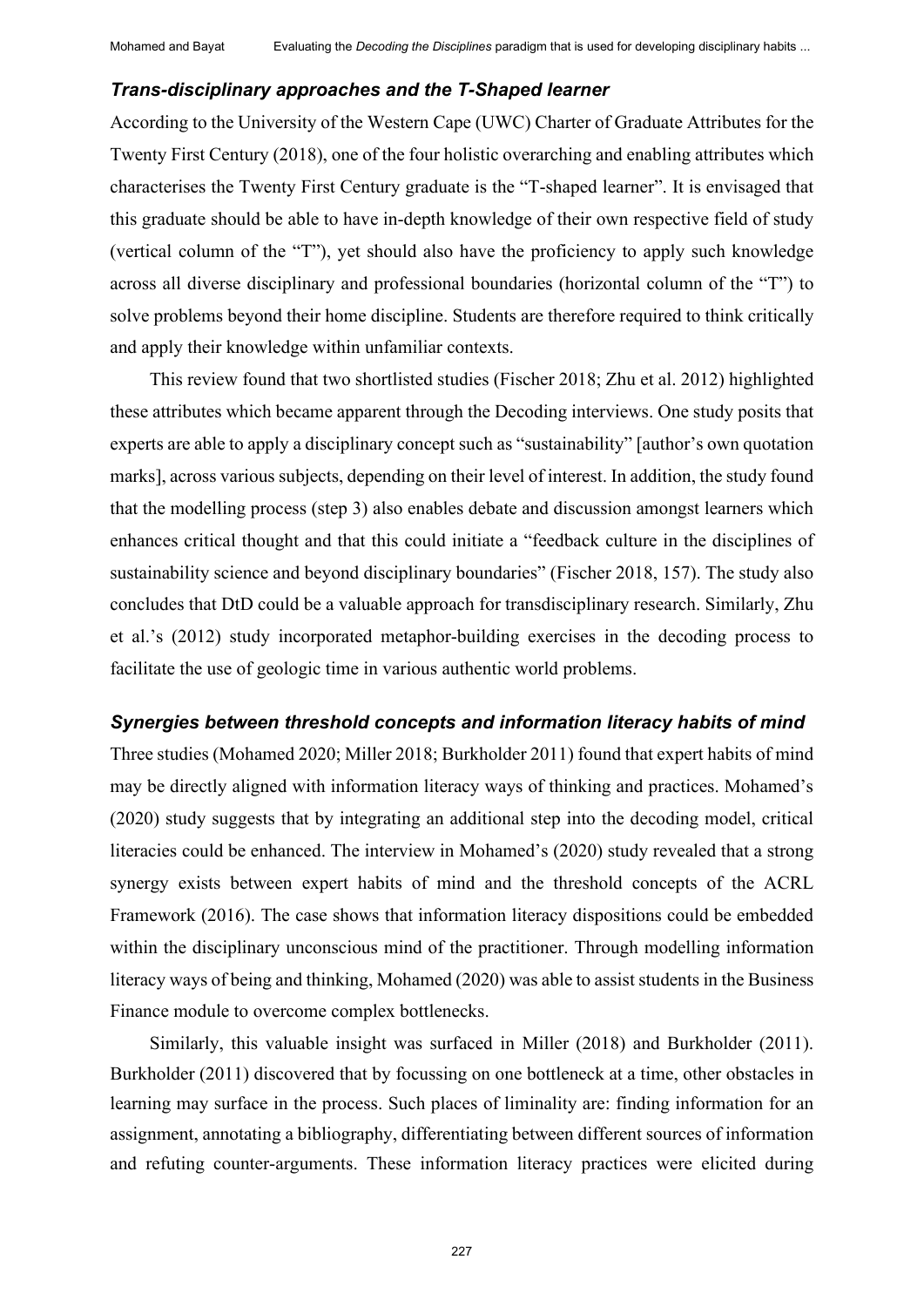#### *Trans-disciplinary approaches and the T-Shaped learner*

According to the University of the Western Cape (UWC) Charter of Graduate Attributes for the Twenty First Century (2018), one of the four holistic overarching and enabling attributes which characterises the Twenty First Century graduate is the "T-shaped learner". It is envisaged that this graduate should be able to have in-depth knowledge of their own respective field of study (vertical column of the "T"), yet should also have the proficiency to apply such knowledge across all diverse disciplinary and professional boundaries (horizontal column of the "T") to solve problems beyond their home discipline. Students are therefore required to think critically and apply their knowledge within unfamiliar contexts.

This review found that two shortlisted studies (Fischer 2018; Zhu et al. 2012) highlighted these attributes which became apparent through the Decoding interviews. One study posits that experts are able to apply a disciplinary concept such as "sustainability" [author's own quotation marks], across various subjects, depending on their level of interest. In addition, the study found that the modelling process (step 3) also enables debate and discussion amongst learners which enhances critical thought and that this could initiate a "feedback culture in the disciplines of sustainability science and beyond disciplinary boundaries" (Fischer 2018, 157). The study also concludes that DtD could be a valuable approach for transdisciplinary research. Similarly, Zhu et al.'s (2012) study incorporated metaphor-building exercises in the decoding process to facilitate the use of geologic time in various authentic world problems.

#### *Synergies between threshold concepts and information literacy habits of mind*

Three studies (Mohamed 2020; Miller 2018; Burkholder 2011) found that expert habits of mind may be directly aligned with information literacy ways of thinking and practices. Mohamed's (2020) study suggests that by integrating an additional step into the decoding model, critical literacies could be enhanced. The interview in Mohamed's (2020) study revealed that a strong synergy exists between expert habits of mind and the threshold concepts of the ACRL Framework (2016). The case shows that information literacy dispositions could be embedded within the disciplinary unconscious mind of the practitioner. Through modelling information literacy ways of being and thinking, Mohamed (2020) was able to assist students in the Business Finance module to overcome complex bottlenecks.

Similarly, this valuable insight was surfaced in Miller (2018) and Burkholder (2011). Burkholder (2011) discovered that by focussing on one bottleneck at a time, other obstacles in learning may surface in the process. Such places of liminality are: finding information for an assignment, annotating a bibliography, differentiating between different sources of information and refuting counter-arguments. These information literacy practices were elicited during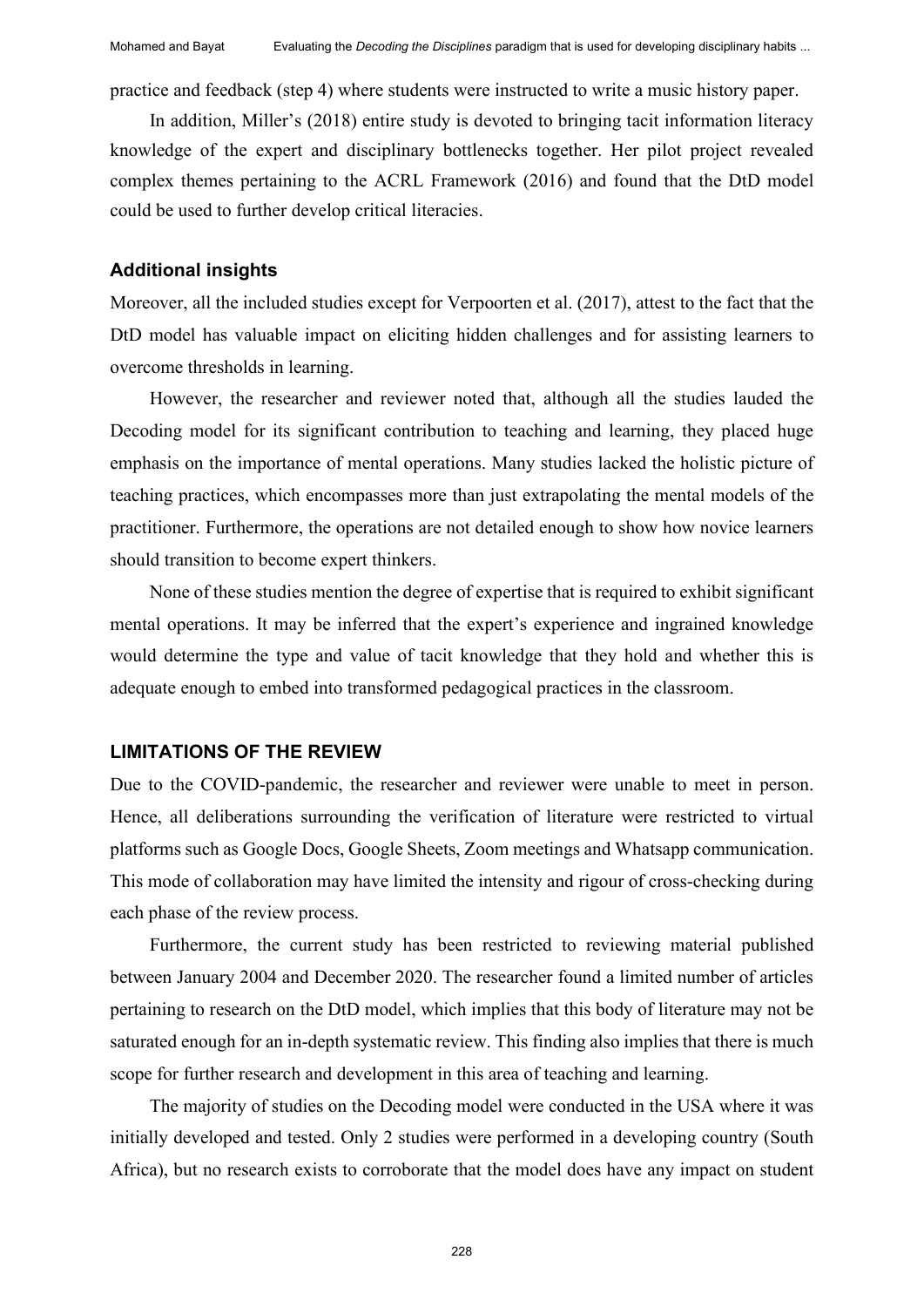practice and feedback (step 4) where students were instructed to write a music history paper.

In addition, Miller's (2018) entire study is devoted to bringing tacit information literacy knowledge of the expert and disciplinary bottlenecks together. Her pilot project revealed complex themes pertaining to the ACRL Framework (2016) and found that the DtD model could be used to further develop critical literacies.

#### **Additional insights**

Moreover, all the included studies except for Verpoorten et al. (2017), attest to the fact that the DtD model has valuable impact on eliciting hidden challenges and for assisting learners to overcome thresholds in learning.

However, the researcher and reviewer noted that, although all the studies lauded the Decoding model for its significant contribution to teaching and learning, they placed huge emphasis on the importance of mental operations. Many studies lacked the holistic picture of teaching practices, which encompasses more than just extrapolating the mental models of the practitioner. Furthermore, the operations are not detailed enough to show how novice learners should transition to become expert thinkers.

None of these studies mention the degree of expertise that is required to exhibit significant mental operations. It may be inferred that the expert's experience and ingrained knowledge would determine the type and value of tacit knowledge that they hold and whether this is adequate enough to embed into transformed pedagogical practices in the classroom.

#### **LIMITATIONS OF THE REVIEW**

Due to the COVID-pandemic, the researcher and reviewer were unable to meet in person. Hence, all deliberations surrounding the verification of literature were restricted to virtual platforms such as Google Docs, Google Sheets, Zoom meetings and Whatsapp communication. This mode of collaboration may have limited the intensity and rigour of cross-checking during each phase of the review process.

Furthermore, the current study has been restricted to reviewing material published between January 2004 and December 2020. The researcher found a limited number of articles pertaining to research on the DtD model, which implies that this body of literature may not be saturated enough for an in-depth systematic review. This finding also implies that there is much scope for further research and development in this area of teaching and learning.

The majority of studies on the Decoding model were conducted in the USA where it was initially developed and tested. Only 2 studies were performed in a developing country (South Africa), but no research exists to corroborate that the model does have any impact on student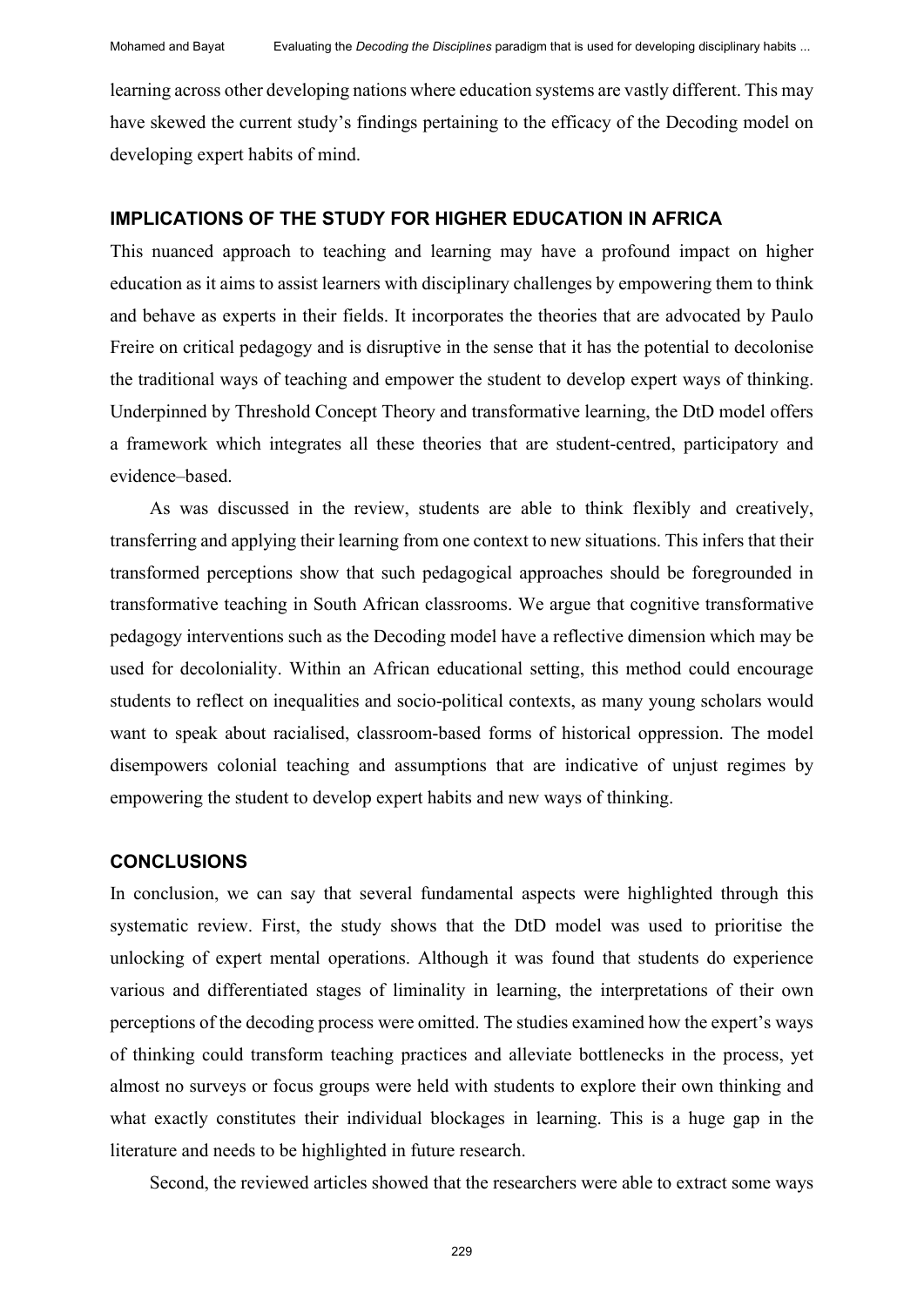learning across other developing nations where education systems are vastly different. This may have skewed the current study's findings pertaining to the efficacy of the Decoding model on developing expert habits of mind.

#### **IMPLICATIONS OF THE STUDY FOR HIGHER EDUCATION IN AFRICA**

This nuanced approach to teaching and learning may have a profound impact on higher education as it aims to assist learners with disciplinary challenges by empowering them to think and behave as experts in their fields. It incorporates the theories that are advocated by Paulo Freire on critical pedagogy and is disruptive in the sense that it has the potential to decolonise the traditional ways of teaching and empower the student to develop expert ways of thinking. Underpinned by Threshold Concept Theory and transformative learning, the DtD model offers a framework which integrates all these theories that are student-centred, participatory and evidence–based.

As was discussed in the review, students are able to think flexibly and creatively, transferring and applying their learning from one context to new situations. This infers that their transformed perceptions show that such pedagogical approaches should be foregrounded in transformative teaching in South African classrooms. We argue that cognitive transformative pedagogy interventions such as the Decoding model have a reflective dimension which may be used for decoloniality. Within an African educational setting, this method could encourage students to reflect on inequalities and socio-political contexts, as many young scholars would want to speak about racialised, classroom-based forms of historical oppression. The model disempowers colonial teaching and assumptions that are indicative of unjust regimes by empowering the student to develop expert habits and new ways of thinking.

#### **CONCLUSIONS**

In conclusion, we can say that several fundamental aspects were highlighted through this systematic review. First, the study shows that the DtD model was used to prioritise the unlocking of expert mental operations. Although it was found that students do experience various and differentiated stages of liminality in learning, the interpretations of their own perceptions of the decoding process were omitted. The studies examined how the expert's ways of thinking could transform teaching practices and alleviate bottlenecks in the process, yet almost no surveys or focus groups were held with students to explore their own thinking and what exactly constitutes their individual blockages in learning. This is a huge gap in the literature and needs to be highlighted in future research.

Second, the reviewed articles showed that the researchers were able to extract some ways

229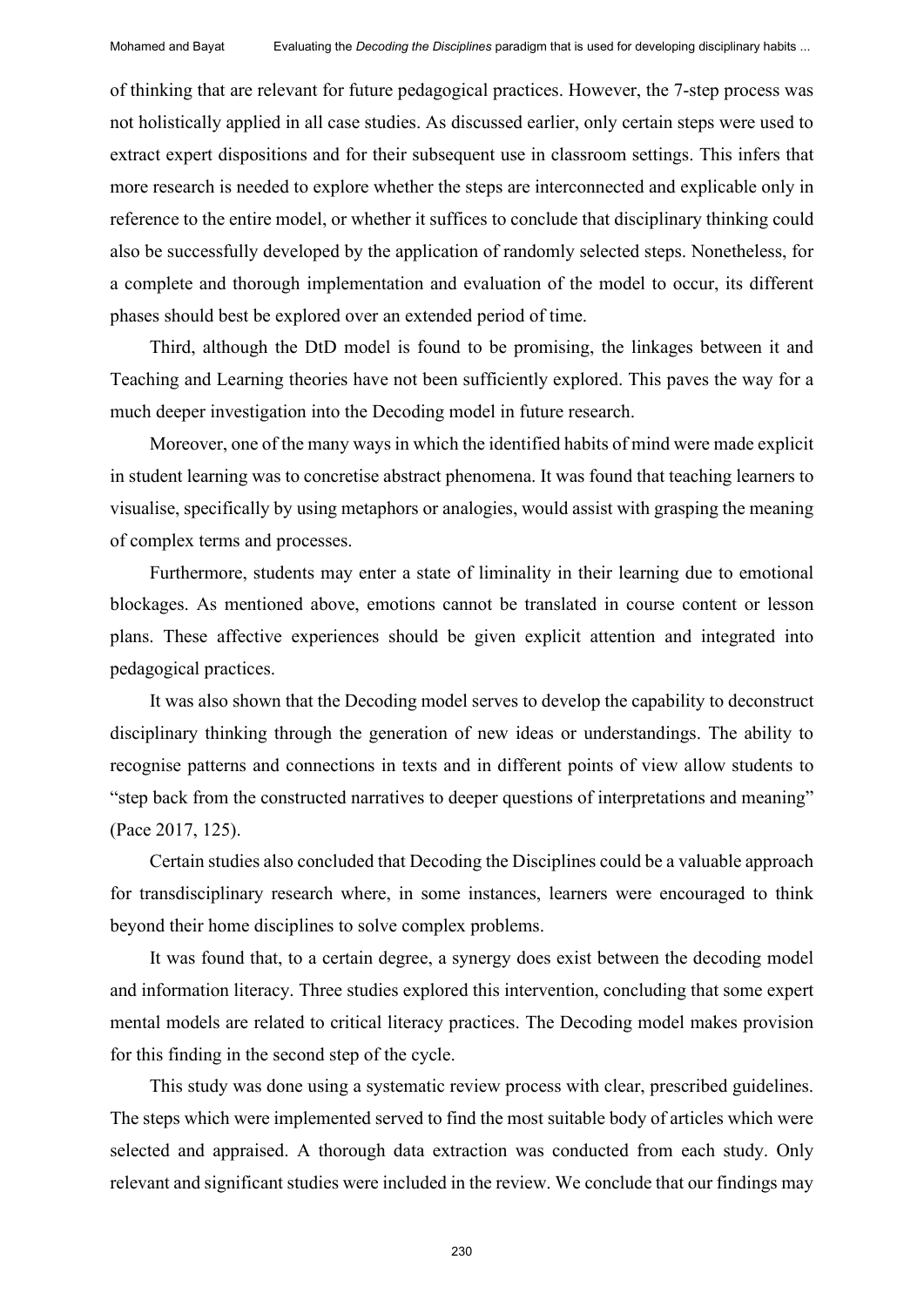of thinking that are relevant for future pedagogical practices. However, the 7-step process was not holistically applied in all case studies. As discussed earlier, only certain steps were used to extract expert dispositions and for their subsequent use in classroom settings. This infers that more research is needed to explore whether the steps are interconnected and explicable only in reference to the entire model, or whether it suffices to conclude that disciplinary thinking could also be successfully developed by the application of randomly selected steps. Nonetheless, for a complete and thorough implementation and evaluation of the model to occur, its different phases should best be explored over an extended period of time.

Third, although the DtD model is found to be promising, the linkages between it and Teaching and Learning theories have not been sufficiently explored. This paves the way for a much deeper investigation into the Decoding model in future research.

Moreover, one of the many ways in which the identified habits of mind were made explicit in student learning was to concretise abstract phenomena. It was found that teaching learners to visualise, specifically by using metaphors or analogies, would assist with grasping the meaning of complex terms and processes.

Furthermore, students may enter a state of liminality in their learning due to emotional blockages. As mentioned above, emotions cannot be translated in course content or lesson plans. These affective experiences should be given explicit attention and integrated into pedagogical practices.

It was also shown that the Decoding model serves to develop the capability to deconstruct disciplinary thinking through the generation of new ideas or understandings. The ability to recognise patterns and connections in texts and in different points of view allow students to "step back from the constructed narratives to deeper questions of interpretations and meaning" (Pace 2017, 125).

Certain studies also concluded that Decoding the Disciplines could be a valuable approach for transdisciplinary research where, in some instances, learners were encouraged to think beyond their home disciplines to solve complex problems.

It was found that, to a certain degree, a synergy does exist between the decoding model and information literacy. Three studies explored this intervention, concluding that some expert mental models are related to critical literacy practices. The Decoding model makes provision for this finding in the second step of the cycle.

This study was done using a systematic review process with clear, prescribed guidelines. The steps which were implemented served to find the most suitable body of articles which were selected and appraised. A thorough data extraction was conducted from each study. Only relevant and significant studies were included in the review. We conclude that our findings may

230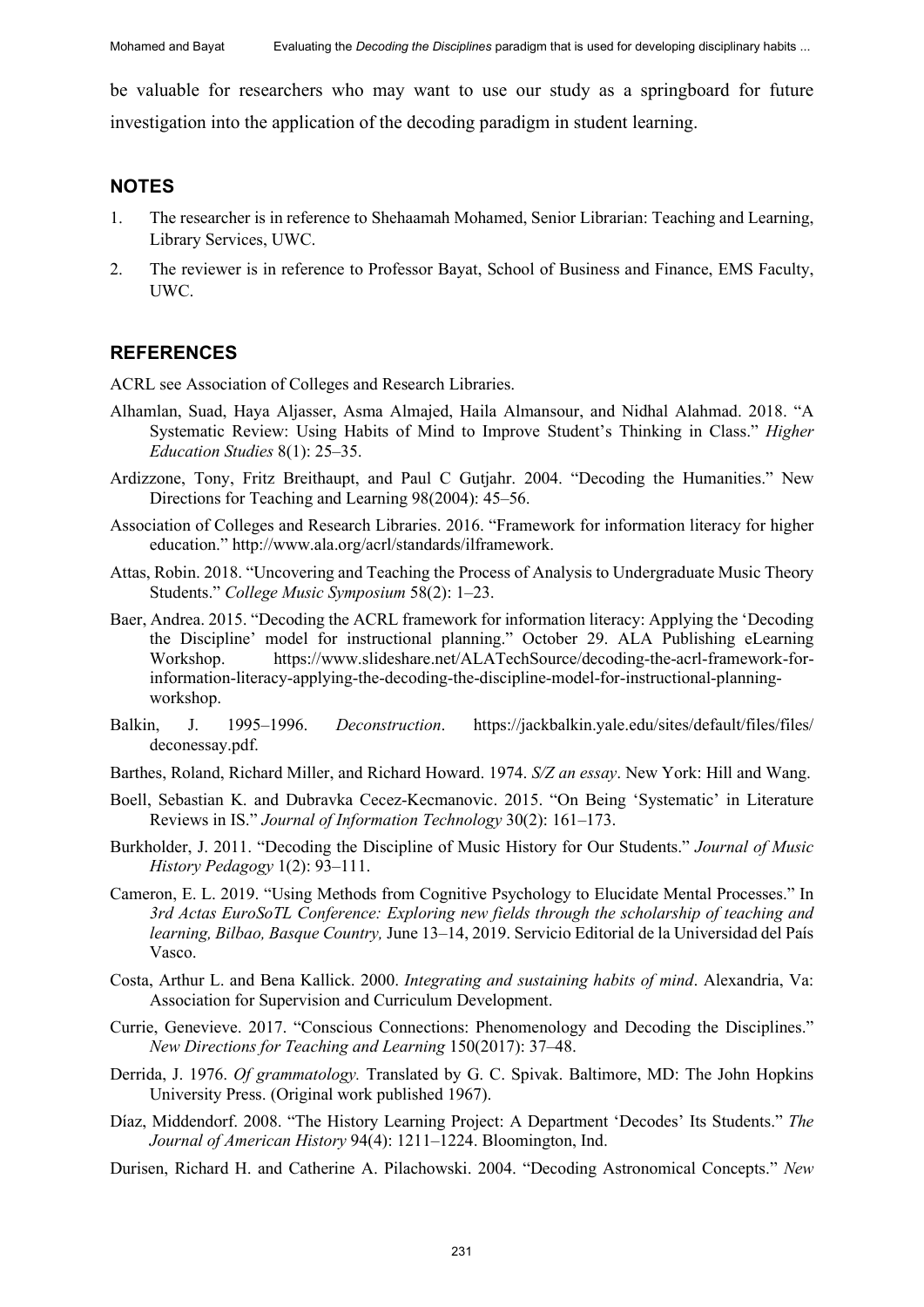be valuable for researchers who may want to use our study as a springboard for future investigation into the application of the decoding paradigm in student learning.

#### **NOTES**

- 1. The researcher is in reference to Shehaamah Mohamed, Senior Librarian: Teaching and Learning, Library Services, UWC.
- 2. The reviewer is in reference to Professor Bayat, School of Business and Finance, EMS Faculty, UWC.

#### **REFERENCES**

ACRL see Association of Colleges and Research Libraries.

- Alhamlan, Suad, Haya Aljasser, Asma Almajed, Haila Almansour, and Nidhal Alahmad. 2018. "A Systematic Review: Using Habits of Mind to Improve Student's Thinking in Class." *Higher Education Studies* 8(1): 25–35.
- Ardizzone, Tony, Fritz Breithaupt, and Paul C Gutjahr. 2004. "Decoding the Humanities." New Directions for Teaching and Learning 98(2004): 45–56.
- Association of Colleges and Research Libraries. 2016. "Framework for information literacy for higher education." http://www.ala.org/acrl/standards/ilframework.
- Attas, Robin. 2018. "Uncovering and Teaching the Process of Analysis to Undergraduate Music Theory Students." *College Music Symposium* 58(2): 1–23.
- Baer, Andrea. 2015. "Decoding the ACRL framework for information literacy: Applying the 'Decoding the Discipline' model for instructional planning." October 29. ALA Publishing eLearning Workshop. https://www.slideshare.net/ALATechSource/decoding-the-acrl-framework-forinformation-literacy-applying-the-decoding-the-discipline-model-for-instructional-planningworkshop.
- Balkin, J. 1995–1996. *Deconstruction*. https://jackbalkin.yale.edu/sites/default/files/files/ deconessay.pdf.
- Barthes, Roland, Richard Miller, and Richard Howard. 1974. *S/Z an essay*. New York: Hill and Wang.
- Boell, Sebastian K. and Dubravka Cecez-Kecmanovic. 2015. "On Being 'Systematic' in Literature Reviews in IS." *Journal of Information Technology* 30(2): 161–173.
- Burkholder, J. 2011. "Decoding the Discipline of Music History for Our Students." *Journal of Music History Pedagogy* 1(2): 93–111.
- Cameron, E. L. 2019. "Using Methods from Cognitive Psychology to Elucidate Mental Processes." In *3rd Actas EuroSoTL Conference: Exploring new fields through the scholarship of teaching and learning, Bilbao, Basque Country,* June 13‒14, 2019. Servicio Editorial de la Universidad del País Vasco.
- Costa, Arthur L. and Bena Kallick. 2000. *Integrating and sustaining habits of mind*. Alexandria, Va: Association for Supervision and Curriculum Development.
- Currie, Genevieve. 2017. "Conscious Connections: Phenomenology and Decoding the Disciplines." *New Directions for Teaching and Learning* 150(2017): 37–48.
- Derrida, J. 1976. *Of grammatology.* Translated by G. C. Spivak. Baltimore, MD: The John Hopkins University Press. (Original work published 1967).
- Díaz, Middendorf. 2008. "The History Learning Project: A Department 'Decodes' Its Students." *The Journal of American History* 94(4): 1211–1224. Bloomington, Ind.
- Durisen, Richard H. and Catherine A. Pilachowski. 2004. "Decoding Astronomical Concepts." *New*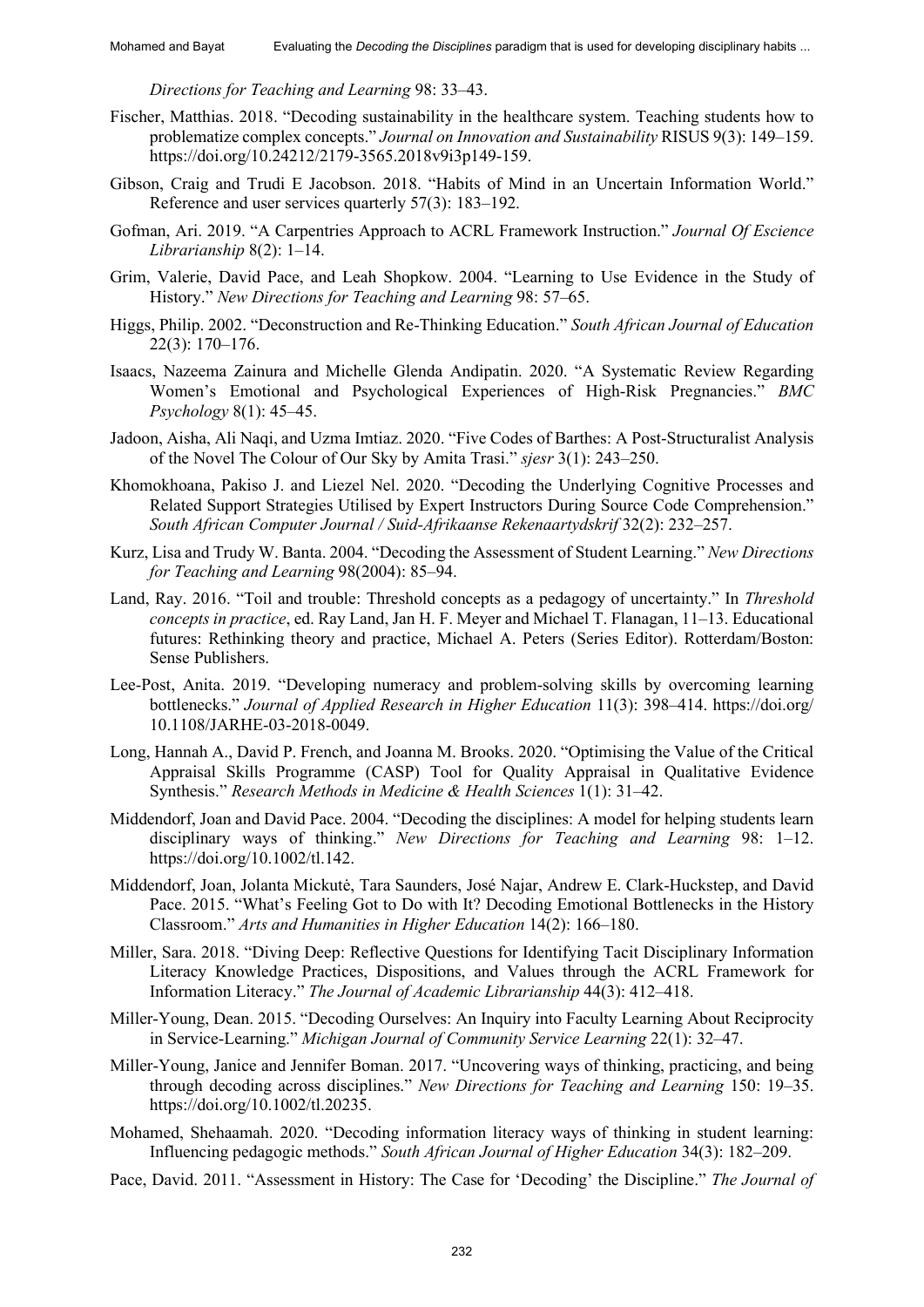*Directions for Teaching and Learning* 98: 33–43.

- Fischer, Matthias. 2018. "Decoding sustainability in the healthcare system. Teaching students how to problematize complex concepts." *Journal on Innovation and Sustainability* RISUS 9(3): 149–159. https://doi.org/10.24212/2179-3565.2018v9i3p149-159.
- Gibson, Craig and Trudi E Jacobson. 2018. "Habits of Mind in an Uncertain Information World." Reference and user services quarterly 57(3): 183–192.
- Gofman, Ari. 2019. "A Carpentries Approach to ACRL Framework Instruction." *Journal Of Escience Librarianship* 8(2): 1–14.
- Grim, Valerie, David Pace, and Leah Shopkow. 2004. "Learning to Use Evidence in the Study of History." *New Directions for Teaching and Learning* 98: 57–65.
- Higgs, Philip. 2002. "Deconstruction and Re-Thinking Education." *South African Journal of Education* 22(3): 170–176.
- Isaacs, Nazeema Zainura and Michelle Glenda Andipatin. 2020. "A Systematic Review Regarding Women's Emotional and Psychological Experiences of High-Risk Pregnancies." *BMC Psychology* 8(1): 45–45.
- Jadoon, Aisha, Ali Naqi, and Uzma Imtiaz. 2020. "Five Codes of Barthes: A Post-Structuralist Analysis of the Novel The Colour of Our Sky by Amita Trasi." *sjesr* 3(1): 243–250.
- Khomokhoana, Pakiso J. and Liezel Nel. 2020. "Decoding the Underlying Cognitive Processes and Related Support Strategies Utilised by Expert Instructors During Source Code Comprehension." *South African Computer Journal / Suid-Afrikaanse Rekenaartydskrif* 32(2): 232–257.
- Kurz, Lisa and Trudy W. Banta. 2004. "Decoding the Assessment of Student Learning." *New Directions for Teaching and Learning* 98(2004): 85–94.
- Land, Ray. 2016. "Toil and trouble: Threshold concepts as a pedagogy of uncertainty." In *Threshold concepts in practice*, ed. Ray Land, Jan H. F. Meyer and Michael T. Flanagan, 11–13. Educational futures: Rethinking theory and practice, Michael A. Peters (Series Editor). Rotterdam/Boston: Sense Publishers.
- Lee-Post, Anita. 2019. "Developing numeracy and problem-solving skills by overcoming learning bottlenecks." *Journal of Applied Research in Higher Education* 11(3): 398–414. https://doi.org/ 10.1108/JARHE-03-2018-0049.
- Long, Hannah A., David P. French, and Joanna M. Brooks. 2020. "Optimising the Value of the Critical Appraisal Skills Programme (CASP) Tool for Quality Appraisal in Qualitative Evidence Synthesis." *Research Methods in Medicine & Health Sciences* 1(1): 31–42.
- Middendorf, Joan and David Pace. 2004. "Decoding the disciplines: A model for helping students learn disciplinary ways of thinking." *New Directions for Teaching and Learning* 98: 1-12. https://doi.org/10.1002/tl.142.
- Middendorf, Joan, Jolanta Mickutė, Tara Saunders, José Najar, Andrew E. Clark-Huckstep, and David Pace. 2015. "What's Feeling Got to Do with It? Decoding Emotional Bottlenecks in the History Classroom." *Arts and Humanities in Higher Education* 14(2): 166–180.
- Miller, Sara. 2018. "Diving Deep: Reflective Questions for Identifying Tacit Disciplinary Information Literacy Knowledge Practices, Dispositions, and Values through the ACRL Framework for Information Literacy." *The Journal of Academic Librarianship* 44(3): 412–418.
- Miller-Young, Dean. 2015. "Decoding Ourselves: An Inquiry into Faculty Learning About Reciprocity in Service-Learning." *Michigan Journal of Community Service Learning* 22(1): 32–47.
- Miller-Young, Janice and Jennifer Boman. 2017. "Uncovering ways of thinking, practicing, and being through decoding across disciplines." *New Directions for Teaching and Learning* 150: 19‒35. https://doi.org/10.1002/tl.20235.
- Mohamed, Shehaamah. 2020. "Decoding information literacy ways of thinking in student learning: Influencing pedagogic methods." *South African Journal of Higher Education* 34(3): 182–209.
- Pace, David. 2011. "Assessment in History: The Case for 'Decoding' the Discipline." *The Journal of*